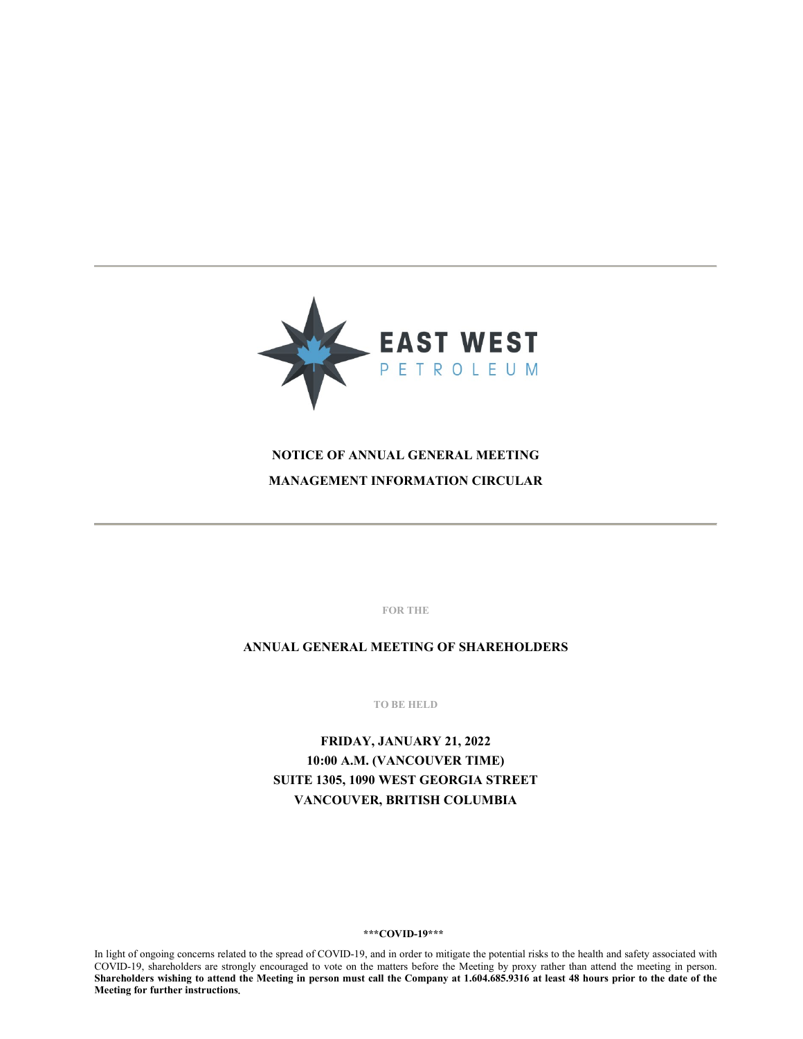

# **NOTICE OF ANNUAL GENERAL MEETING MANAGEMENT INFORMATION CIRCULAR**

**FOR THE**

**ANNUAL GENERAL MEETING OF SHAREHOLDERS**

**TO BE HELD**

**FRIDAY, JANUARY 21, 2022 10:00 A.M. (VANCOUVER TIME) SUITE 1305, 1090 WEST GEORGIA STREET VANCOUVER, BRITISH COLUMBIA**

#### **\*\*\*COVID-19\*\*\***

In light of ongoing concerns related to the spread of COVID-19, and in order to mitigate the potential risks to the health and safety associated with COVID-19, shareholders are strongly encouraged to vote on the matters before the Meeting by proxy rather than attend the meeting in person. **Shareholders wishing to attend the Meeting in person must call the Company at 1.604.685.9316 at least 48 hours prior to the date of the Meeting for further instructions.**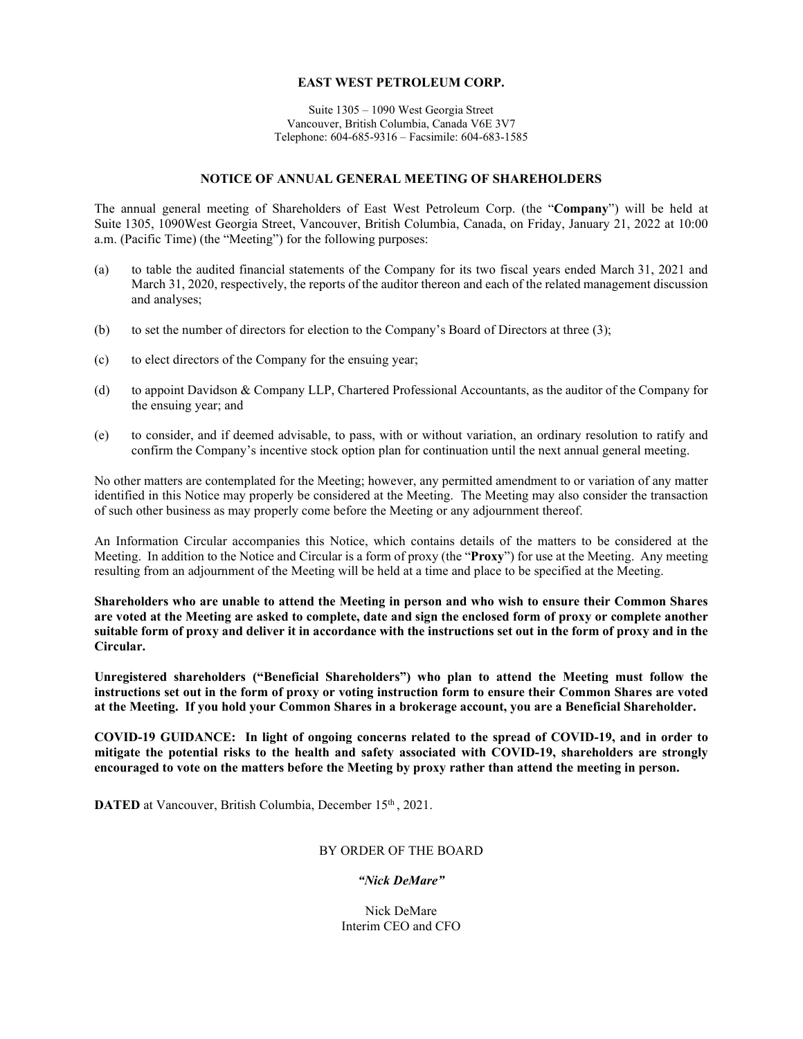# **EAST WEST PETROLEUM CORP.**

Suite 1305 – 1090 West Georgia Street Vancouver, British Columbia, Canada V6E 3V7 Telephone: 604-685-9316 – Facsimile: 604-683-1585

### **NOTICE OF ANNUAL GENERAL MEETING OF SHAREHOLDERS**

The annual general meeting of Shareholders of East West Petroleum Corp. (the "**Company**") will be held at Suite 1305, 1090West Georgia Street, Vancouver, British Columbia, Canada, on Friday, January 21, 2022 at 10:00 a.m. (Pacific Time) (the "Meeting") for the following purposes:

- (a) to table the audited financial statements of the Company for its two fiscal years ended March 31, 2021 and March 31, 2020, respectively, the reports of the auditor thereon and each of the related management discussion and analyses;
- (b) to set the number of directors for election to the Company's Board of Directors at three (3);
- (c) to elect directors of the Company for the ensuing year;
- (d) to appoint Davidson & Company LLP, Chartered Professional Accountants, as the auditor of the Company for the ensuing year; and
- (e) to consider, and if deemed advisable, to pass, with or without variation, an ordinary resolution to ratify and confirm the Company's incentive stock option plan for continuation until the next annual general meeting.

No other matters are contemplated for the Meeting; however, any permitted amendment to or variation of any matter identified in this Notice may properly be considered at the Meeting. The Meeting may also consider the transaction of such other business as may properly come before the Meeting or any adjournment thereof.

An Information Circular accompanies this Notice, which contains details of the matters to be considered at the Meeting. In addition to the Notice and Circular is a form of proxy (the "**Proxy**") for use at the Meeting. Any meeting resulting from an adjournment of the Meeting will be held at a time and place to be specified at the Meeting.

**Shareholders who are unable to attend the Meeting in person and who wish to ensure their Common Shares are voted at the Meeting are asked to complete, date and sign the enclosed form of proxy or complete another suitable form of proxy and deliver it in accordance with the instructions set out in the form of proxy and in the Circular.**

**Unregistered shareholders ("Beneficial Shareholders") who plan to attend the Meeting must follow the instructions set out in the form of proxy or voting instruction form to ensure their Common Shares are voted at the Meeting. If you hold your Common Shares in a brokerage account, you are a Beneficial Shareholder.**

**COVID-19 GUIDANCE: In light of ongoing concerns related to the spread of COVID-19, and in order to mitigate the potential risks to the health and safety associated with COVID-19, shareholders are strongly encouraged to vote on the matters before the Meeting by proxy rather than attend the meeting in person.** 

**DATED** at Vancouver, British Columbia, December 15<sup>th</sup>, 2021.

# BY ORDER OF THE BOARD

# *"Nick DeMare"*

Nick DeMare Interim CEO and CFO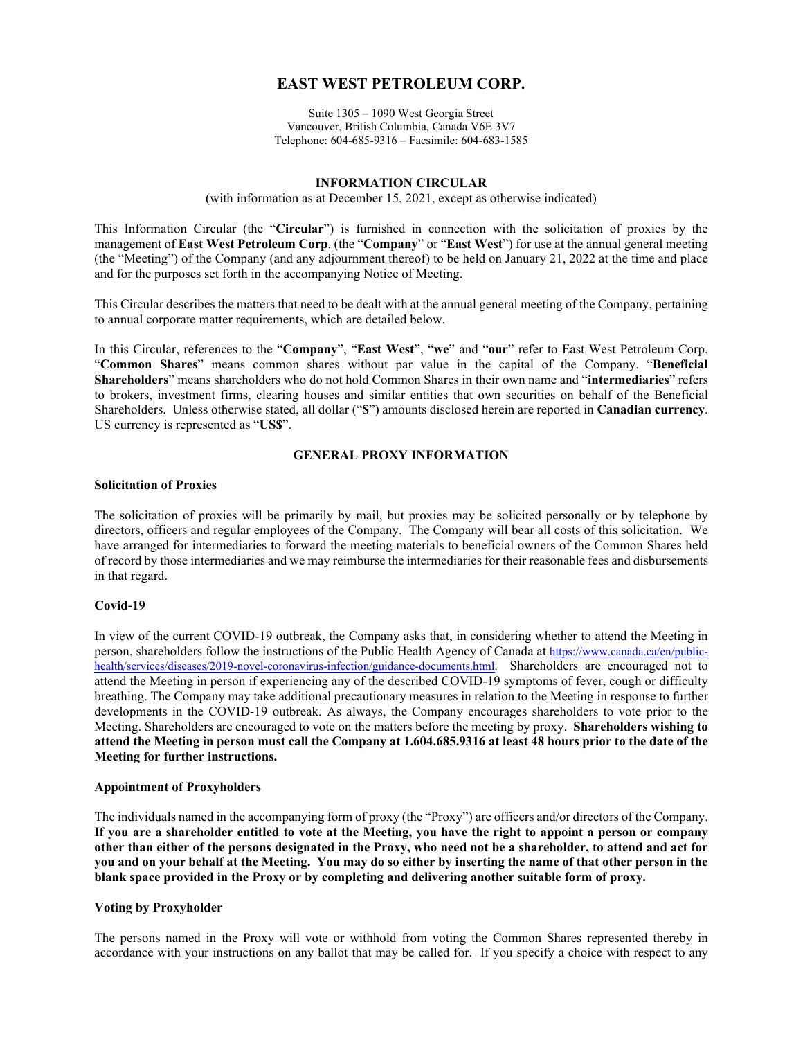# **EAST WEST PETROLEUM CORP.**

Suite 1305 – 1090 West Georgia Street Vancouver, British Columbia, Canada V6E 3V7 Telephone: 604-685-9316 – Facsimile: 604-683-1585

#### **INFORMATION CIRCULAR**

(with information as at December 15, 2021, except as otherwise indicated)

This Information Circular (the "**Circular**") is furnished in connection with the solicitation of proxies by the management of **East West Petroleum Corp**. (the "**Company**" or "**East West**") for use at the annual general meeting (the "Meeting") of the Company (and any adjournment thereof) to be held on January 21, 2022 at the time and place and for the purposes set forth in the accompanying Notice of Meeting.

This Circular describes the matters that need to be dealt with at the annual general meeting of the Company, pertaining to annual corporate matter requirements, which are detailed below.

In this Circular, references to the "**Company**", "**East West**", "**we**" and "**our**" refer to East West Petroleum Corp. "**Common Shares**" means common shares without par value in the capital of the Company. "**Beneficial Shareholders**" means shareholders who do not hold Common Shares in their own name and "**intermediaries**" refers to brokers, investment firms, clearing houses and similar entities that own securities on behalf of the Beneficial Shareholders. Unless otherwise stated, all dollar ("**\$**") amounts disclosed herein are reported in **Canadian currency**. US currency is represented as "**US\$**".

# **GENERAL PROXY INFORMATION**

#### **Solicitation of Proxies**

The solicitation of proxies will be primarily by mail, but proxies may be solicited personally or by telephone by directors, officers and regular employees of the Company. The Company will bear all costs of this solicitation. We have arranged for intermediaries to forward the meeting materials to beneficial owners of the Common Shares held of record by those intermediaries and we may reimburse the intermediaries for their reasonable fees and disbursements in that regard.

#### **Covid-19**

In view of the current COVID-19 outbreak, the Company asks that, in considering whether to attend the Meeting in person, shareholders follow the instructions of the Public Health Agency of Canada at [https://www.canada.ca/en/public](https://www.canada.ca/en/public-health/services/diseases/2019-novel-coronavirus-infection/guidance-documents.html)[health/services/diseases/2019-novel-coronavirus-infection/guidance-documents.html.](https://www.canada.ca/en/public-health/services/diseases/2019-novel-coronavirus-infection/guidance-documents.html) Shareholders are encouraged not to attend the Meeting in person if experiencing any of the described COVID-19 symptoms of fever, cough or difficulty breathing. The Company may take additional precautionary measures in relation to the Meeting in response to further developments in the COVID‐19 outbreak. As always, the Company encourages shareholders to vote prior to the Meeting. Shareholders are encouraged to vote on the matters before the meeting by proxy. **Shareholders wishing to attend the Meeting in person must call the Company at 1.604.685.9316 at least 48 hours prior to the date of the Meeting for further instructions.** 

# **Appointment of Proxyholders**

The individuals named in the accompanying form of proxy (the "Proxy") are officers and/or directors of the Company. **If you are a shareholder entitled to vote at the Meeting, you have the right to appoint a person or company other than either of the persons designated in the Proxy, who need not be a shareholder, to attend and act for you and on your behalf at the Meeting. You may do so either by inserting the name of that other person in the blank space provided in the Proxy or by completing and delivering another suitable form of proxy.**

# **Voting by Proxyholder**

The persons named in the Proxy will vote or withhold from voting the Common Shares represented thereby in accordance with your instructions on any ballot that may be called for. If you specify a choice with respect to any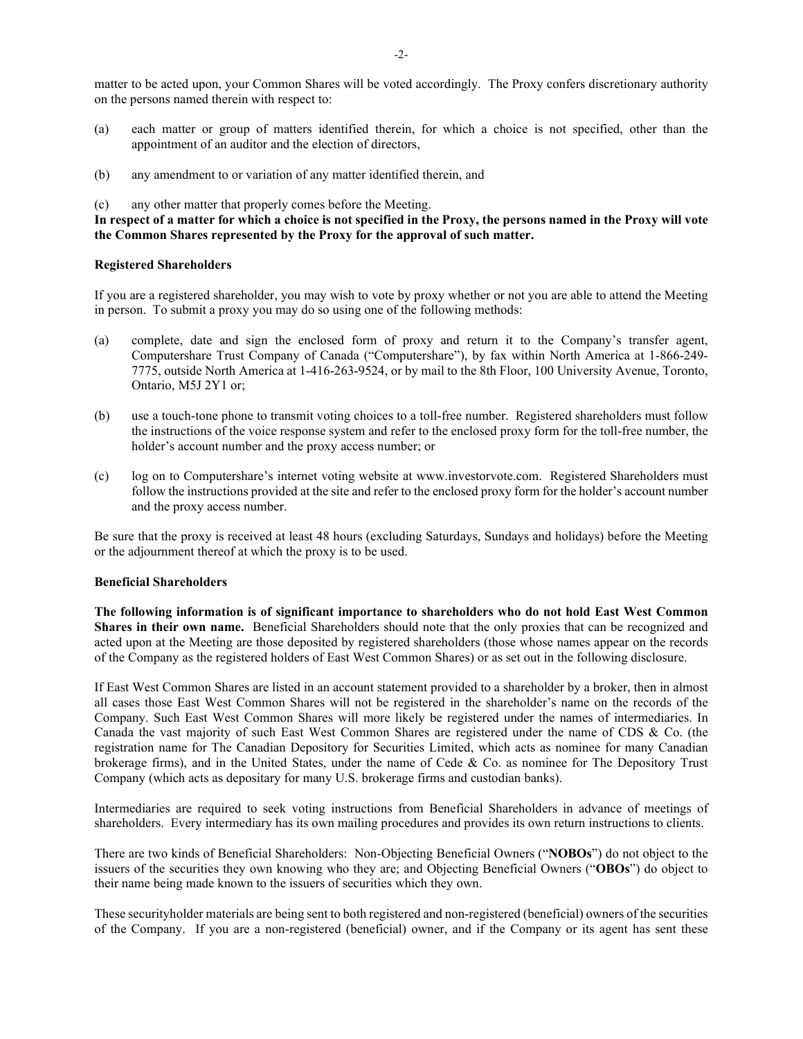matter to be acted upon, your Common Shares will be voted accordingly. The Proxy confers discretionary authority on the persons named therein with respect to:

- (a) each matter or group of matters identified therein, for which a choice is not specified, other than the appointment of an auditor and the election of directors,
- (b) any amendment to or variation of any matter identified therein, and
- (c) any other matter that properly comes before the Meeting.

### **In respect of a matter for which a choice is not specified in the Proxy, the persons named in the Proxy will vote the Common Shares represented by the Proxy for the approval of such matter.**

#### **Registered Shareholders**

If you are a registered shareholder, you may wish to vote by proxy whether or not you are able to attend the Meeting in person. To submit a proxy you may do so using one of the following methods:

- (a) complete, date and sign the enclosed form of proxy and return it to the Company's transfer agent, Computershare Trust Company of Canada ("Computershare"), by fax within North America at 1-866-249- 7775, outside North America at 1-416-263-9524, or by mail to the 8th Floor, 100 University Avenue, Toronto, Ontario, M5J 2Y1 or;
- (b) use a touch-tone phone to transmit voting choices to a toll-free number. Registered shareholders must follow the instructions of the voice response system and refer to the enclosed proxy form for the toll-free number, the holder's account number and the proxy access number; or
- (c) log on to Computershare's internet voting website at www.investorvote.com. Registered Shareholders must follow the instructions provided at the site and refer to the enclosed proxy form for the holder's account number and the proxy access number.

Be sure that the proxy is received at least 48 hours (excluding Saturdays, Sundays and holidays) before the Meeting or the adjournment thereof at which the proxy is to be used.

#### **Beneficial Shareholders**

**The following information is of significant importance to shareholders who do not hold East West Common Shares in their own name.** Beneficial Shareholders should note that the only proxies that can be recognized and acted upon at the Meeting are those deposited by registered shareholders (those whose names appear on the records of the Company as the registered holders of East West Common Shares) or as set out in the following disclosure.

If East West Common Shares are listed in an account statement provided to a shareholder by a broker, then in almost all cases those East West Common Shares will not be registered in the shareholder's name on the records of the Company. Such East West Common Shares will more likely be registered under the names of intermediaries. In Canada the vast majority of such East West Common Shares are registered under the name of CDS & Co. (the registration name for The Canadian Depository for Securities Limited, which acts as nominee for many Canadian brokerage firms), and in the United States, under the name of Cede & Co. as nominee for The Depository Trust Company (which acts as depositary for many U.S. brokerage firms and custodian banks).

Intermediaries are required to seek voting instructions from Beneficial Shareholders in advance of meetings of shareholders. Every intermediary has its own mailing procedures and provides its own return instructions to clients.

There are two kinds of Beneficial Shareholders: Non-Objecting Beneficial Owners ("**NOBOs**") do not object to the issuers of the securities they own knowing who they are; and Objecting Beneficial Owners ("**OBOs**") do object to their name being made known to the issuers of securities which they own.

These securityholder materials are being sent to both registered and non-registered (beneficial) owners of the securities of the Company. If you are a non-registered (beneficial) owner, and if the Company or its agent has sent these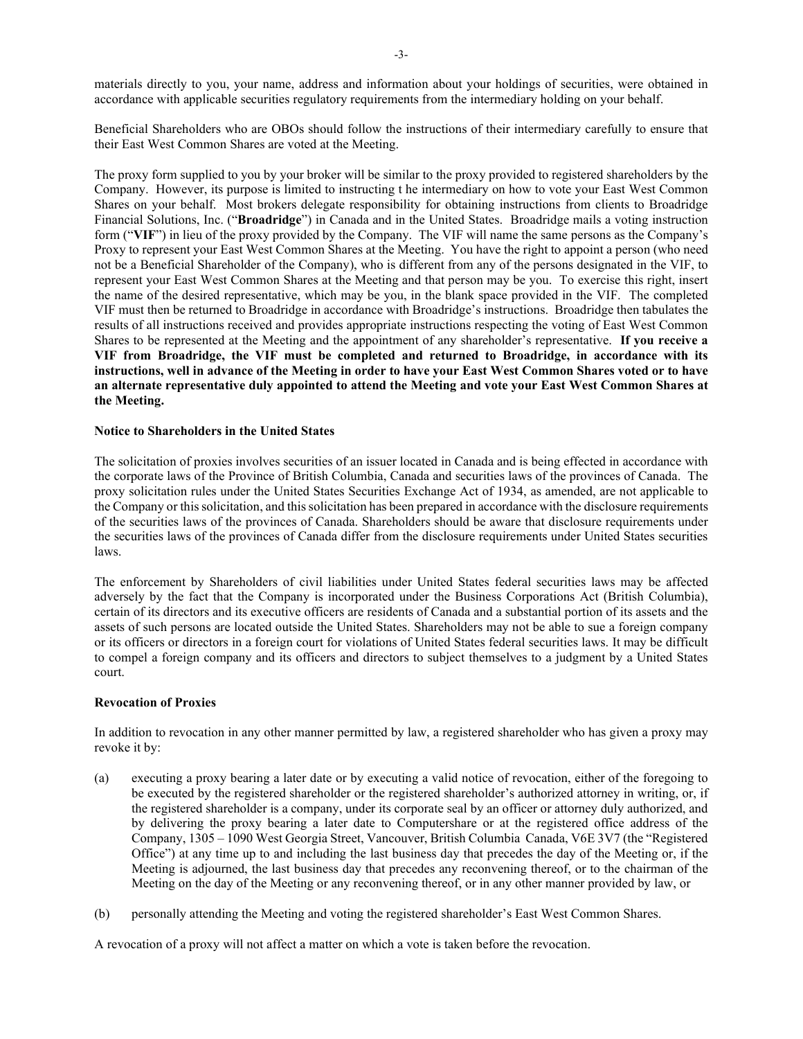materials directly to you, your name, address and information about your holdings of securities, were obtained in accordance with applicable securities regulatory requirements from the intermediary holding on your behalf.

Beneficial Shareholders who are OBOs should follow the instructions of their intermediary carefully to ensure that their East West Common Shares are voted at the Meeting.

The proxy form supplied to you by your broker will be similar to the proxy provided to registered shareholders by the Company. However, its purpose is limited to instructing t he intermediary on how to vote your East West Common Shares on your behalf. Most brokers delegate responsibility for obtaining instructions from clients to Broadridge Financial Solutions, Inc. ("**Broadridge**") in Canada and in the United States. Broadridge mails a voting instruction form ("**VIF**") in lieu of the proxy provided by the Company. The VIF will name the same persons as the Company's Proxy to represent your East West Common Shares at the Meeting. You have the right to appoint a person (who need not be a Beneficial Shareholder of the Company), who is different from any of the persons designated in the VIF, to represent your East West Common Shares at the Meeting and that person may be you. To exercise this right, insert the name of the desired representative, which may be you, in the blank space provided in the VIF. The completed VIF must then be returned to Broadridge in accordance with Broadridge's instructions. Broadridge then tabulates the results of all instructions received and provides appropriate instructions respecting the voting of East West Common Shares to be represented at the Meeting and the appointment of any shareholder's representative. **If you receive a VIF from Broadridge, the VIF must be completed and returned to Broadridge, in accordance with its instructions, well in advance of the Meeting in order to have your East West Common Shares voted or to have an alternate representative duly appointed to attend the Meeting and vote your East West Common Shares at the Meeting.**

#### **Notice to Shareholders in the United States**

The solicitation of proxies involves securities of an issuer located in Canada and is being effected in accordance with the corporate laws of the Province of British Columbia, Canada and securities laws of the provinces of Canada. The proxy solicitation rules under the United States Securities Exchange Act of 1934, as amended, are not applicable to the Company or this solicitation, and this solicitation has been prepared in accordance with the disclosure requirements of the securities laws of the provinces of Canada. Shareholders should be aware that disclosure requirements under the securities laws of the provinces of Canada differ from the disclosure requirements under United States securities laws.

The enforcement by Shareholders of civil liabilities under United States federal securities laws may be affected adversely by the fact that the Company is incorporated under the Business Corporations Act (British Columbia), certain of its directors and its executive officers are residents of Canada and a substantial portion of its assets and the assets of such persons are located outside the United States. Shareholders may not be able to sue a foreign company or its officers or directors in a foreign court for violations of United States federal securities laws. It may be difficult to compel a foreign company and its officers and directors to subject themselves to a judgment by a United States court.

#### **Revocation of Proxies**

In addition to revocation in any other manner permitted by law, a registered shareholder who has given a proxy may revoke it by:

- (a) executing a proxy bearing a later date or by executing a valid notice of revocation, either of the foregoing to be executed by the registered shareholder or the registered shareholder's authorized attorney in writing, or, if the registered shareholder is a company, under its corporate seal by an officer or attorney duly authorized, and by delivering the proxy bearing a later date to Computershare or at the registered office address of the Company, 1305 – 1090 West Georgia Street, Vancouver, British Columbia Canada, V6E 3V7 (the "Registered Office") at any time up to and including the last business day that precedes the day of the Meeting or, if the Meeting is adjourned, the last business day that precedes any reconvening thereof, or to the chairman of the Meeting on the day of the Meeting or any reconvening thereof, or in any other manner provided by law, or
- (b) personally attending the Meeting and voting the registered shareholder's East West Common Shares.

A revocation of a proxy will not affect a matter on which a vote is taken before the revocation.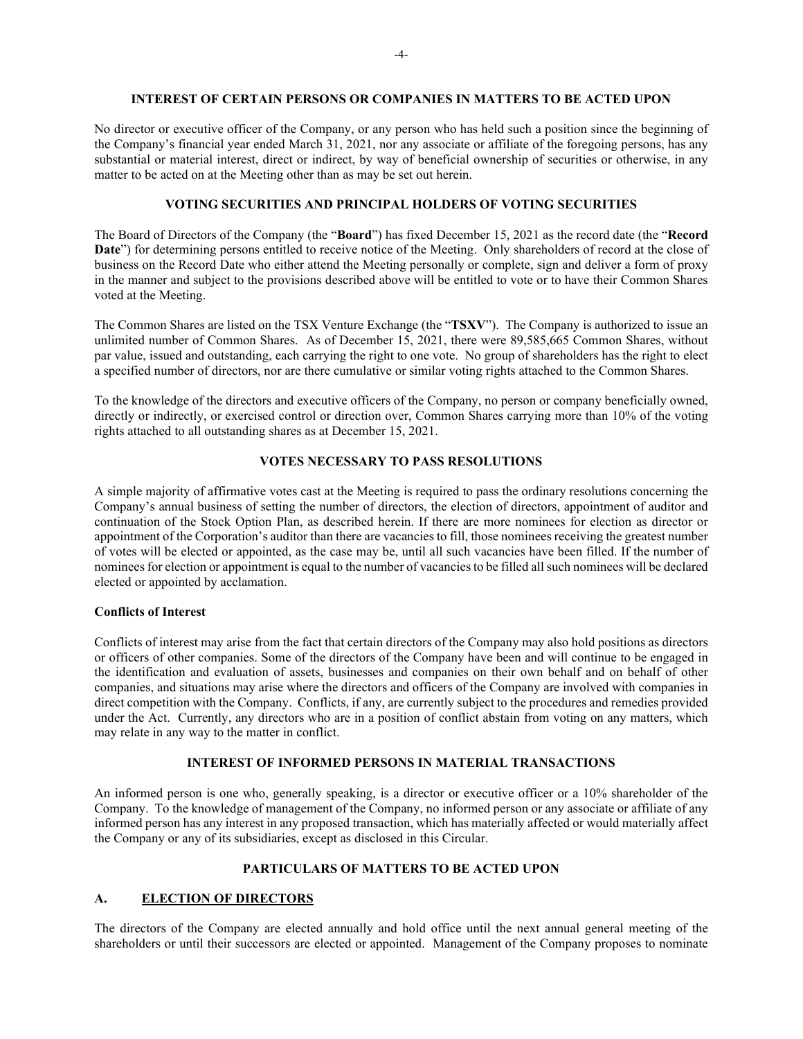#### **INTEREST OF CERTAIN PERSONS OR COMPANIES IN MATTERS TO BE ACTED UPON**

No director or executive officer of the Company, or any person who has held such a position since the beginning of the Company's financial year ended March 31, 2021, nor any associate or affiliate of the foregoing persons, has any substantial or material interest, direct or indirect, by way of beneficial ownership of securities or otherwise, in any matter to be acted on at the Meeting other than as may be set out herein.

#### **VOTING SECURITIES AND PRINCIPAL HOLDERS OF VOTING SECURITIES**

The Board of Directors of the Company (the "**Board**") has fixed December 15, 2021 as the record date (the "**Record Date**") for determining persons entitled to receive notice of the Meeting. Only shareholders of record at the close of business on the Record Date who either attend the Meeting personally or complete, sign and deliver a form of proxy in the manner and subject to the provisions described above will be entitled to vote or to have their Common Shares voted at the Meeting.

The Common Shares are listed on the TSX Venture Exchange (the "**TSXV**"). The Company is authorized to issue an unlimited number of Common Shares. As of December 15, 2021, there were 89,585,665 Common Shares, without par value, issued and outstanding, each carrying the right to one vote. No group of shareholders has the right to elect a specified number of directors, nor are there cumulative or similar voting rights attached to the Common Shares.

To the knowledge of the directors and executive officers of the Company, no person or company beneficially owned, directly or indirectly, or exercised control or direction over, Common Shares carrying more than 10% of the voting rights attached to all outstanding shares as at December 15, 2021.

# **VOTES NECESSARY TO PASS RESOLUTIONS**

A simple majority of affirmative votes cast at the Meeting is required to pass the ordinary resolutions concerning the Company's annual business of setting the number of directors, the election of directors, appointment of auditor and continuation of the Stock Option Plan, as described herein. If there are more nominees for election as director or appointment of the Corporation's auditor than there are vacancies to fill, those nominees receiving the greatest number of votes will be elected or appointed, as the case may be, until all such vacancies have been filled. If the number of nominees for election or appointment is equal to the number of vacancies to be filled all such nominees will be declared elected or appointed by acclamation.

#### **Conflicts of Interest**

Conflicts of interest may arise from the fact that certain directors of the Company may also hold positions as directors or officers of other companies. Some of the directors of the Company have been and will continue to be engaged in the identification and evaluation of assets, businesses and companies on their own behalf and on behalf of other companies, and situations may arise where the directors and officers of the Company are involved with companies in direct competition with the Company. Conflicts, if any, are currently subject to the procedures and remedies provided under the Act. Currently, any directors who are in a position of conflict abstain from voting on any matters, which may relate in any way to the matter in conflict.

# **INTEREST OF INFORMED PERSONS IN MATERIAL TRANSACTIONS**

An informed person is one who, generally speaking, is a director or executive officer or a 10% shareholder of the Company. To the knowledge of management of the Company, no informed person or any associate or affiliate of any informed person has any interest in any proposed transaction, which has materially affected or would materially affect the Company or any of its subsidiaries, except as disclosed in this Circular.

# **PARTICULARS OF MATTERS TO BE ACTED UPON**

# **A. ELECTION OF DIRECTORS**

The directors of the Company are elected annually and hold office until the next annual general meeting of the shareholders or until their successors are elected or appointed. Management of the Company proposes to nominate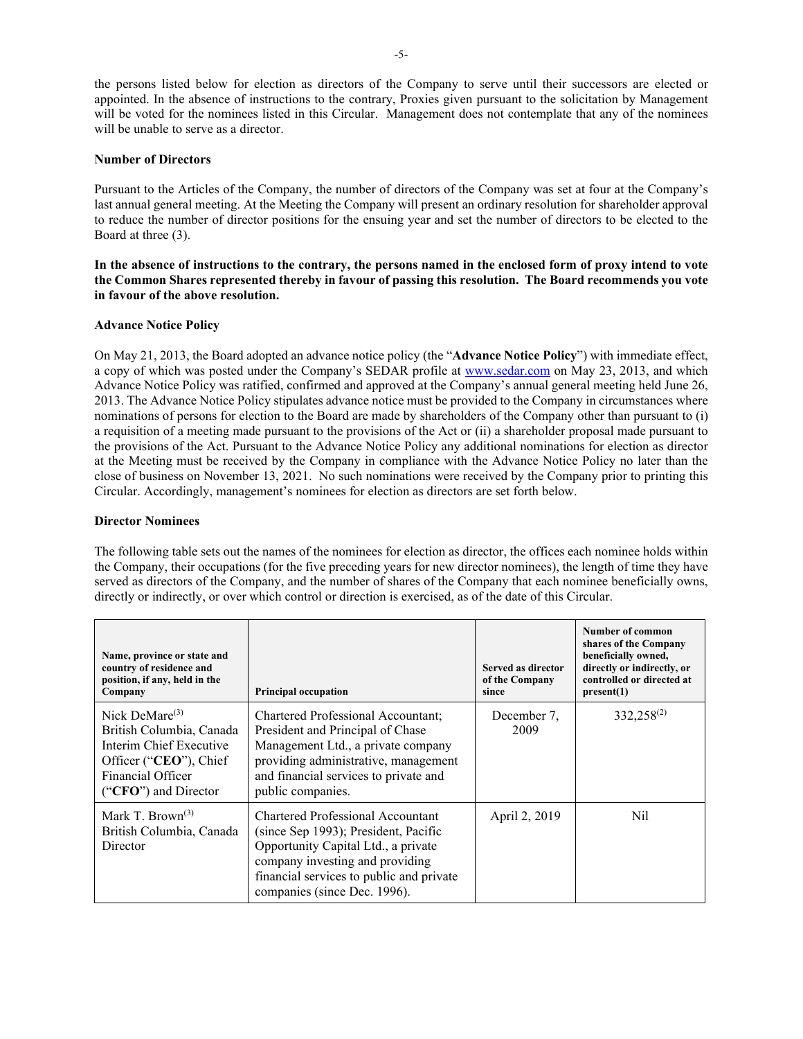the persons listed below for election as directors of the Company to serve until their successors are elected or appointed. In the absence of instructions to the contrary, Proxies given pursuant to the solicitation by Management will be voted for the nominees listed in this Circular. Management does not contemplate that any of the nominees will be unable to serve as a director.

# **Number of Directors**

Pursuant to the Articles of the Company, the number of directors of the Company was set at four at the Company's last annual general meeting. At the Meeting the Company will present an ordinary resolution for shareholder approval to reduce the number of director positions for the ensuing year and set the number of directors to be elected to the Board at three (3).

**In the absence of instructions to the contrary, the persons named in the enclosed form of proxy intend to vote the Common Shares represented thereby in favour of passing this resolution. The Board recommends you vote in favour of the above resolution.**

# **Advance Notice Policy**

On May 21, 2013, the Board adopted an advance notice policy (the "**Advance Notice Policy**") with immediate effect, a copy of which was posted under the Company's SEDAR profile at [www.sedar.com](http://www.sedar.com/) on May 23, 2013, and which Advance Notice Policy was ratified, confirmed and approved at the Company's annual general meeting held June 26, 2013. The Advance Notice Policy stipulates advance notice must be provided to the Company in circumstances where nominations of persons for election to the Board are made by shareholders of the Company other than pursuant to (i) a requisition of a meeting made pursuant to the provisions of the Act or (ii) a shareholder proposal made pursuant to the provisions of the Act. Pursuant to the Advance Notice Policy any additional nominations for election as director at the Meeting must be received by the Company in compliance with the Advance Notice Policy no later than the close of business on November 13, 2021. No such nominations were received by the Company prior to printing this Circular. Accordingly, management's nominees for election as directors are set forth below.

## **Director Nominees**

The following table sets out the names of the nominees for election as director, the offices each nominee holds within the Company, their occupations (for the five preceding years for new director nominees), the length of time they have served as directors of the Company, and the number of shares of the Company that each nominee beneficially owns, directly or indirectly, or over which control or direction is exercised, as of the date of this Circular.

| Name, province or state and<br>country of residence and<br>position, if any, held in the<br>Company                                             | <b>Principal occupation</b>                                                                                                                                                                                                     | Served as director<br>of the Company<br>since | <b>Number of common</b><br>shares of the Company<br>beneficially owned,<br>directly or indirectly, or<br>controlled or directed at<br>present(1) |
|-------------------------------------------------------------------------------------------------------------------------------------------------|---------------------------------------------------------------------------------------------------------------------------------------------------------------------------------------------------------------------------------|-----------------------------------------------|--------------------------------------------------------------------------------------------------------------------------------------------------|
| Nick DeMare $(3)$<br>British Columbia, Canada<br>Interim Chief Executive<br>Officer ("CEO"), Chief<br>Financial Officer<br>("CFO") and Director | Chartered Professional Accountant;<br>President and Principal of Chase<br>Management Ltd., a private company<br>providing administrative, management<br>and financial services to private and<br>public companies.              | December 7,<br>2009                           | 332,258 <sup>(2)</sup>                                                                                                                           |
| Mark T. Brown <sup>(3)</sup><br>British Columbia, Canada<br>Director                                                                            | Chartered Professional Accountant<br>(since Sep 1993); President, Pacific<br>Opportunity Capital Ltd., a private<br>company investing and providing<br>financial services to public and private<br>companies (since Dec. 1996). | April 2, 2019                                 | Nil                                                                                                                                              |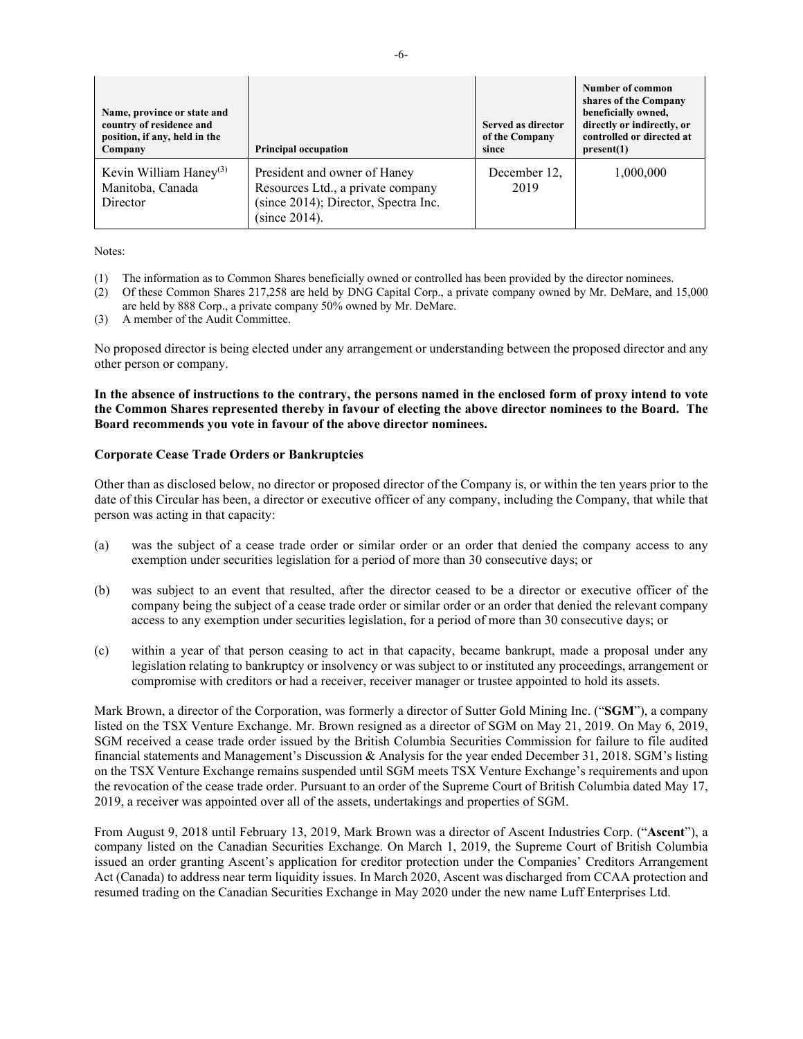| Name, province or state and<br>country of residence and<br>position, if any, held in the<br>Company | <b>Principal occupation</b>                                                                                                | Served as director<br>of the Company<br>since | Number of common<br>shares of the Company<br>beneficially owned,<br>directly or indirectly, or<br>controlled or directed at<br>present(1) |
|-----------------------------------------------------------------------------------------------------|----------------------------------------------------------------------------------------------------------------------------|-----------------------------------------------|-------------------------------------------------------------------------------------------------------------------------------------------|
| Kevin William Haney <sup>(3)</sup><br>Manitoba, Canada<br>Director                                  | President and owner of Haney<br>Resources Ltd., a private company<br>(since 2014); Director, Spectra Inc.<br>(since 2014). | December 12,<br>2019                          | 1,000,000                                                                                                                                 |

Notes:

- (1) The information as to Common Shares beneficially owned or controlled has been provided by the director nominees.
- (2) Of these Common Shares 217,258 are held by DNG Capital Corp., a private company owned by Mr. DeMare, and 15,000 are held by 888 Corp., a private company 50% owned by Mr. DeMare.
- (3) A member of the Audit Committee.

No proposed director is being elected under any arrangement or understanding between the proposed director and any other person or company.

**In the absence of instructions to the contrary, the persons named in the enclosed form of proxy intend to vote the Common Shares represented thereby in favour of electing the above director nominees to the Board. The Board recommends you vote in favour of the above director nominees.**

#### **Corporate Cease Trade Orders or Bankruptcies**

Other than as disclosed below, no director or proposed director of the Company is, or within the ten years prior to the date of this Circular has been, a director or executive officer of any company, including the Company, that while that person was acting in that capacity:

- (a) was the subject of a cease trade order or similar order or an order that denied the company access to any exemption under securities legislation for a period of more than 30 consecutive days; or
- (b) was subject to an event that resulted, after the director ceased to be a director or executive officer of the company being the subject of a cease trade order or similar order or an order that denied the relevant company access to any exemption under securities legislation, for a period of more than 30 consecutive days; or
- (c) within a year of that person ceasing to act in that capacity, became bankrupt, made a proposal under any legislation relating to bankruptcy or insolvency or was subject to or instituted any proceedings, arrangement or compromise with creditors or had a receiver, receiver manager or trustee appointed to hold its assets.

Mark Brown, a director of the Corporation, was formerly a director of Sutter Gold Mining Inc. ("**SGM**"), a company listed on the TSX Venture Exchange. Mr. Brown resigned as a director of SGM on May 21, 2019. On May 6, 2019, SGM received a cease trade order issued by the British Columbia Securities Commission for failure to file audited financial statements and Management's Discussion & Analysis for the year ended December 31, 2018. SGM's listing on the TSX Venture Exchange remains suspended until SGM meets TSX Venture Exchange's requirements and upon the revocation of the cease trade order. Pursuant to an order of the Supreme Court of British Columbia dated May 17, 2019, a receiver was appointed over all of the assets, undertakings and properties of SGM.

From August 9, 2018 until February 13, 2019, Mark Brown was a director of Ascent Industries Corp. ("**Ascent**"), a company listed on the Canadian Securities Exchange. On March 1, 2019, the Supreme Court of British Columbia issued an order granting Ascent's application for creditor protection under the Companies' Creditors Arrangement Act (Canada) to address near term liquidity issues. In March 2020, Ascent was discharged from CCAA protection and resumed trading on the Canadian Securities Exchange in May 2020 under the new name Luff Enterprises Ltd.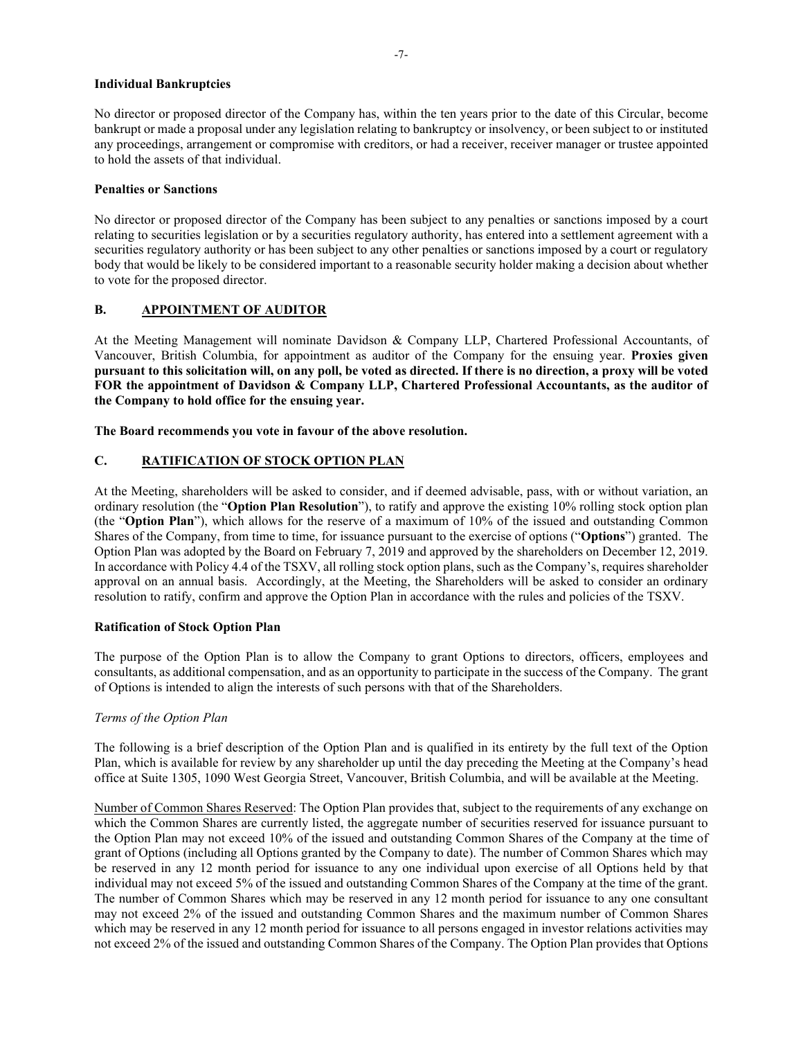### **Individual Bankruptcies**

No director or proposed director of the Company has, within the ten years prior to the date of this Circular, become bankrupt or made a proposal under any legislation relating to bankruptcy or insolvency, or been subject to or instituted any proceedings, arrangement or compromise with creditors, or had a receiver, receiver manager or trustee appointed to hold the assets of that individual.

#### **Penalties or Sanctions**

No director or proposed director of the Company has been subject to any penalties or sanctions imposed by a court relating to securities legislation or by a securities regulatory authority, has entered into a settlement agreement with a securities regulatory authority or has been subject to any other penalties or sanctions imposed by a court or regulatory body that would be likely to be considered important to a reasonable security holder making a decision about whether to vote for the proposed director.

# **B. APPOINTMENT OF AUDITOR**

At the Meeting Management will nominate Davidson & Company LLP, Chartered Professional Accountants, of Vancouver, British Columbia, for appointment as auditor of the Company for the ensuing year. **Proxies given pursuant to this solicitation will, on any poll, be voted as directed. If there is no direction, a proxy will be voted FOR the appointment of Davidson & Company LLP, Chartered Professional Accountants, as the auditor of the Company to hold office for the ensuing year.**

**The Board recommends you vote in favour of the above resolution.**

# **C. RATIFICATION OF STOCK OPTION PLAN**

At the Meeting, shareholders will be asked to consider, and if deemed advisable, pass, with or without variation, an ordinary resolution (the "**Option Plan Resolution**"), to ratify and approve the existing 10% rolling stock option plan (the "**Option Plan**"), which allows for the reserve of a maximum of 10% of the issued and outstanding Common Shares of the Company, from time to time, for issuance pursuant to the exercise of options ("**Options**") granted. The Option Plan was adopted by the Board on February 7, 2019 and approved by the shareholders on December 12, 2019. In accordance with Policy 4.4 of the TSXV, all rolling stock option plans, such as the Company's, requires shareholder approval on an annual basis. Accordingly, at the Meeting, the Shareholders will be asked to consider an ordinary resolution to ratify, confirm and approve the Option Plan in accordance with the rules and policies of the TSXV.

# **Ratification of Stock Option Plan**

The purpose of the Option Plan is to allow the Company to grant Options to directors, officers, employees and consultants, as additional compensation, and as an opportunity to participate in the success of the Company. The grant of Options is intended to align the interests of such persons with that of the Shareholders.

# *Terms of the Option Plan*

The following is a brief description of the Option Plan and is qualified in its entirety by the full text of the Option Plan, which is available for review by any shareholder up until the day preceding the Meeting at the Company's head office at Suite 1305, 1090 West Georgia Street, Vancouver, British Columbia, and will be available at the Meeting.

Number of Common Shares Reserved: The Option Plan provides that, subject to the requirements of any exchange on which the Common Shares are currently listed, the aggregate number of securities reserved for issuance pursuant to the Option Plan may not exceed 10% of the issued and outstanding Common Shares of the Company at the time of grant of Options (including all Options granted by the Company to date). The number of Common Shares which may be reserved in any 12 month period for issuance to any one individual upon exercise of all Options held by that individual may not exceed 5% of the issued and outstanding Common Shares of the Company at the time of the grant. The number of Common Shares which may be reserved in any 12 month period for issuance to any one consultant may not exceed 2% of the issued and outstanding Common Shares and the maximum number of Common Shares which may be reserved in any 12 month period for issuance to all persons engaged in investor relations activities may not exceed 2% of the issued and outstanding Common Shares of the Company. The Option Plan provides that Options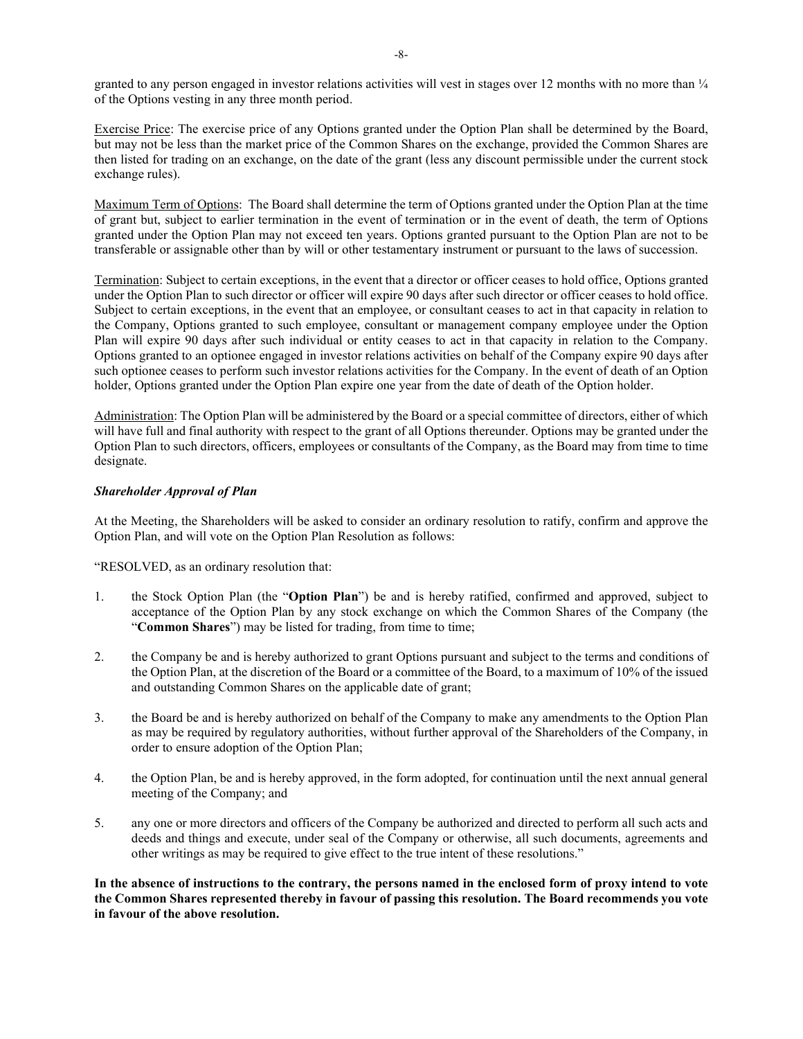granted to any person engaged in investor relations activities will vest in stages over 12 months with no more than  $\frac{1}{4}$ of the Options vesting in any three month period.

Exercise Price: The exercise price of any Options granted under the Option Plan shall be determined by the Board, but may not be less than the market price of the Common Shares on the exchange, provided the Common Shares are then listed for trading on an exchange, on the date of the grant (less any discount permissible under the current stock exchange rules).

Maximum Term of Options: The Board shall determine the term of Options granted under the Option Plan at the time of grant but, subject to earlier termination in the event of termination or in the event of death, the term of Options granted under the Option Plan may not exceed ten years. Options granted pursuant to the Option Plan are not to be transferable or assignable other than by will or other testamentary instrument or pursuant to the laws of succession.

Termination: Subject to certain exceptions, in the event that a director or officer ceases to hold office, Options granted under the Option Plan to such director or officer will expire 90 days after such director or officer ceases to hold office. Subject to certain exceptions, in the event that an employee, or consultant ceases to act in that capacity in relation to the Company, Options granted to such employee, consultant or management company employee under the Option Plan will expire 90 days after such individual or entity ceases to act in that capacity in relation to the Company. Options granted to an optionee engaged in investor relations activities on behalf of the Company expire 90 days after such optionee ceases to perform such investor relations activities for the Company. In the event of death of an Option holder, Options granted under the Option Plan expire one year from the date of death of the Option holder.

Administration: The Option Plan will be administered by the Board or a special committee of directors, either of which will have full and final authority with respect to the grant of all Options thereunder. Options may be granted under the Option Plan to such directors, officers, employees or consultants of the Company, as the Board may from time to time designate.

# *Shareholder Approval of Plan*

At the Meeting, the Shareholders will be asked to consider an ordinary resolution to ratify, confirm and approve the Option Plan, and will vote on the Option Plan Resolution as follows:

"RESOLVED, as an ordinary resolution that:

- 1. the Stock Option Plan (the "**Option Plan**") be and is hereby ratified, confirmed and approved, subject to acceptance of the Option Plan by any stock exchange on which the Common Shares of the Company (the "**Common Shares**") may be listed for trading, from time to time;
- 2. the Company be and is hereby authorized to grant Options pursuant and subject to the terms and conditions of the Option Plan, at the discretion of the Board or a committee of the Board, to a maximum of 10% of the issued and outstanding Common Shares on the applicable date of grant;
- 3. the Board be and is hereby authorized on behalf of the Company to make any amendments to the Option Plan as may be required by regulatory authorities, without further approval of the Shareholders of the Company, in order to ensure adoption of the Option Plan;
- 4. the Option Plan, be and is hereby approved, in the form adopted, for continuation until the next annual general meeting of the Company; and
- 5. any one or more directors and officers of the Company be authorized and directed to perform all such acts and deeds and things and execute, under seal of the Company or otherwise, all such documents, agreements and other writings as may be required to give effect to the true intent of these resolutions."

**In the absence of instructions to the contrary, the persons named in the enclosed form of proxy intend to vote the Common Shares represented thereby in favour of passing this resolution. The Board recommends you vote in favour of the above resolution.**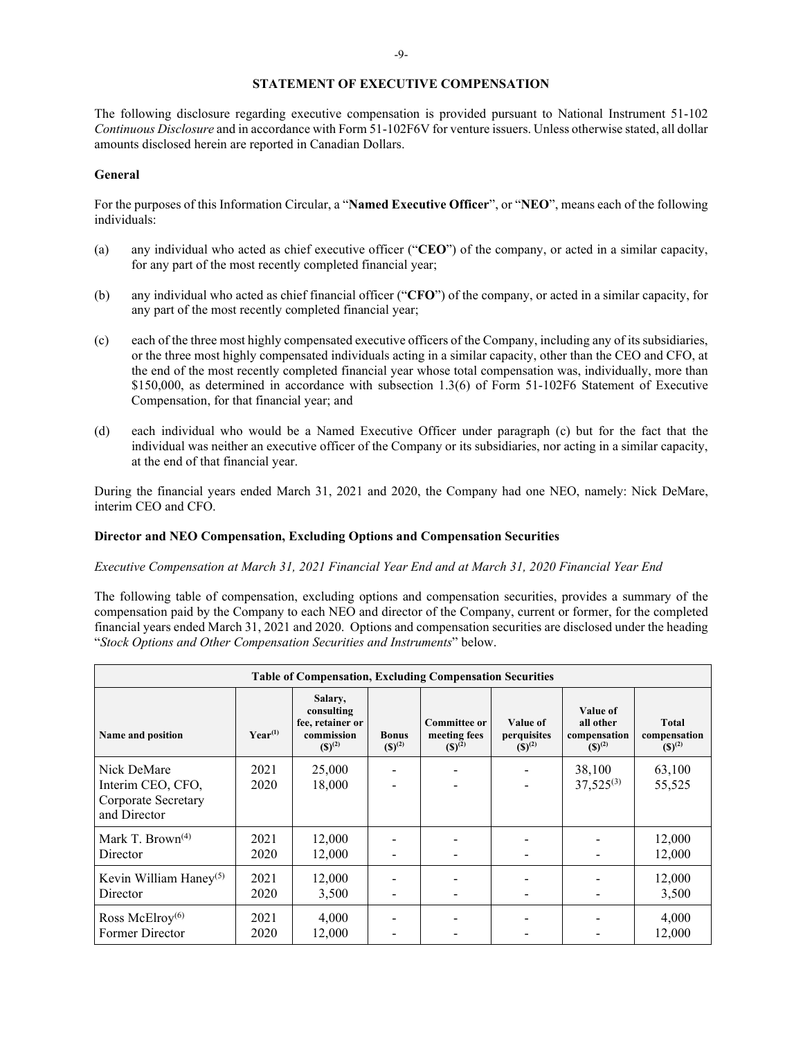#### **STATEMENT OF EXECUTIVE COMPENSATION**

The following disclosure regarding executive compensation is provided pursuant to National Instrument 51-102 *Continuous Disclosure* and in accordance with Form 51-102F6V for venture issuers. Unless otherwise stated, all dollar amounts disclosed herein are reported in Canadian Dollars.

#### **General**

For the purposes of this Information Circular, a "**Named Executive Officer**", or "**NEO**", means each of the following individuals:

- (a) any individual who acted as chief executive officer ("**CEO**") of the company, or acted in a similar capacity, for any part of the most recently completed financial year;
- (b) any individual who acted as chief financial officer ("**CFO**") of the company, or acted in a similar capacity, for any part of the most recently completed financial year;
- (c) each of the three most highly compensated executive officers of the Company, including any of its subsidiaries, or the three most highly compensated individuals acting in a similar capacity, other than the CEO and CFO, at the end of the most recently completed financial year whose total compensation was, individually, more than \$150,000, as determined in accordance with subsection 1.3(6) of Form 51-102F6 Statement of Executive Compensation, for that financial year; and
- (d) each individual who would be a Named Executive Officer under paragraph (c) but for the fact that the individual was neither an executive officer of the Company or its subsidiaries, nor acting in a similar capacity, at the end of that financial year.

During the financial years ended March 31, 2021 and 2020, the Company had one NEO, namely: Nick DeMare, interim CEO and CFO.

#### **Director and NEO Compensation, Excluding Options and Compensation Securities**

*Executive Compensation at March 31, 2021 Financial Year End and at March 31, 2020 Financial Year End*

The following table of compensation, excluding options and compensation securities, provides a summary of the compensation paid by the Company to each NEO and director of the Company, current or former, for the completed financial years ended March 31, 2021 and 2020. Options and compensation securities are disclosed under the heading "*Stock Options and Other Compensation Securities and Instruments*" below.

| <b>Table of Compensation, Excluding Compensation Securities</b> |              |                                                                        |                             |                                                    |                                        |                                                      |                                             |
|-----------------------------------------------------------------|--------------|------------------------------------------------------------------------|-----------------------------|----------------------------------------------------|----------------------------------------|------------------------------------------------------|---------------------------------------------|
| Name and position                                               | $Year^{(1)}$ | Salary,<br>consulting<br>fee, retainer or<br>commission<br>$(S)^{(2)}$ | <b>Bonus</b><br>$(S)^{(2)}$ | <b>Committee or</b><br>meeting fees<br>$(S)^{(2)}$ | Value of<br>perquisites<br>$(S)^{(2)}$ | Value of<br>all other<br>compensation<br>$(S)^{(2)}$ | <b>Total</b><br>compensation<br>$(S)^{(2)}$ |
| Nick DeMare                                                     | 2021         | 25,000                                                                 |                             |                                                    |                                        | 38,100                                               | 63,100                                      |
| Interim CEO, CFO,<br>Corporate Secretary<br>and Director        | 2020         | 18,000                                                                 |                             |                                                    |                                        | $37,525^{(3)}$                                       | 55,525                                      |
| Mark T. Brown <sup>(4)</sup><br>Director                        | 2021<br>2020 | 12,000<br>12,000                                                       |                             |                                                    |                                        |                                                      | 12,000<br>12,000                            |
| Kevin William Haney <sup>(5)</sup><br>Director                  | 2021<br>2020 | 12,000<br>3,500                                                        |                             |                                                    |                                        |                                                      | 12,000<br>3,500                             |
| Ross McElroy $(6)$<br>Former Director                           | 2021<br>2020 | 4,000<br>12,000                                                        |                             |                                                    |                                        |                                                      | 4,000<br>12,000                             |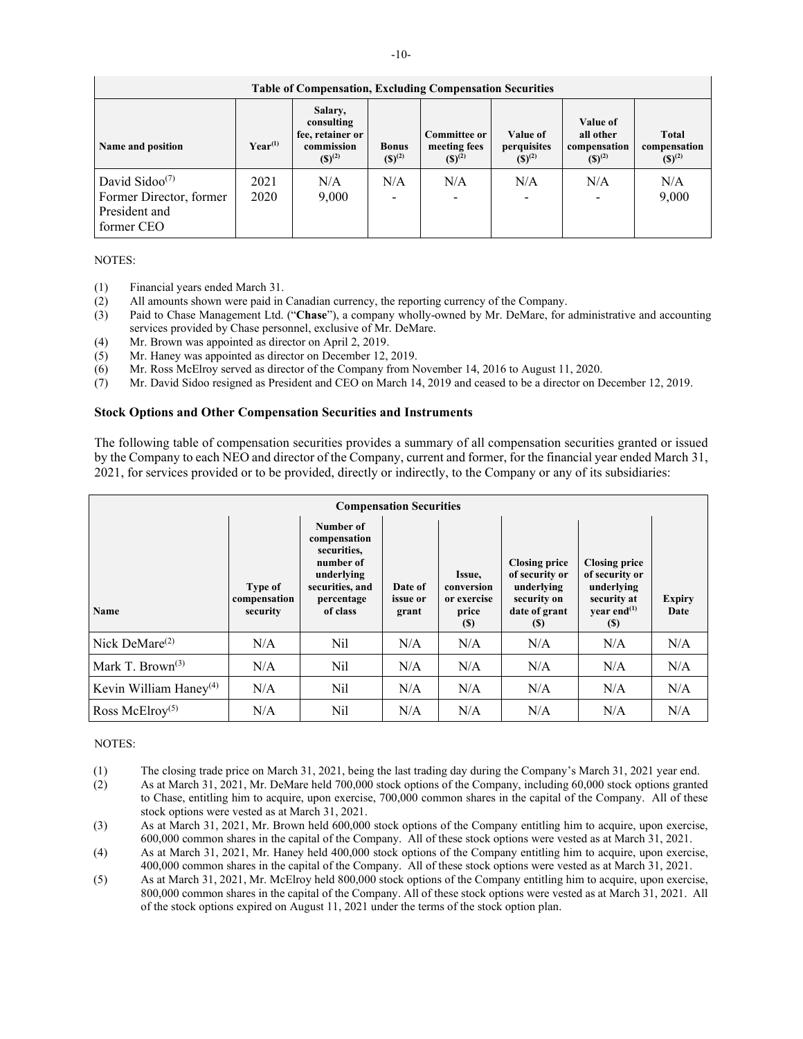| <b>Table of Compensation, Excluding Compensation Securities</b>                                   |                       |                                                                        |                                 |                                                    |                                        |                                                             |                                      |
|---------------------------------------------------------------------------------------------------|-----------------------|------------------------------------------------------------------------|---------------------------------|----------------------------------------------------|----------------------------------------|-------------------------------------------------------------|--------------------------------------|
| Name and position                                                                                 | $\mathbf{Year}^{(1)}$ | Salary,<br>consulting<br>fee, retainer or<br>commission<br>$(S)^{(2)}$ | <b>Bonus</b><br>$(S)^{(2)}$     | <b>Committee or</b><br>meeting fees<br>$(S)^{(2)}$ | Value of<br>perquisites<br>$(S)^{(2)}$ | <b>Value of</b><br>all other<br>compensation<br>$(S)^{(2)}$ | Total<br>compensation<br>$(S)^{(2)}$ |
| David Sidoo <sup><math>(7)</math></sup><br>Former Director, former<br>President and<br>former CEO | 2021<br>2020          | N/A<br>9,000                                                           | N/A<br>$\overline{\phantom{0}}$ | N/A                                                | N/A<br>$\overline{\phantom{a}}$        | N/A                                                         | N/A<br>9,000                         |

# NOTES:

- (1) Financial years ended March 31.<br>(2) All amounts shown were paid in
- (2) All amounts shown were paid in Canadian currency, the reporting currency of the Company.
- (3) Paid to Chase Management Ltd. ("**Chase**"), a company wholly-owned by Mr. DeMare, for administrative and accounting services provided by Chase personnel, exclusive of Mr. DeMare.
- (4) Mr. Brown was appointed as director on April 2, 2019.
- (5) Mr. Haney was appointed as director on December 12, 2019.
- (6) Mr. Ross McElroy served as director of the Company from November 14, 2016 to August 11, 2020.
- (7) Mr. David Sidoo resigned as President and CEO on March 14, 2019 and ceased to be a director on December 12, 2019.

#### **Stock Options and Other Compensation Securities and Instruments**

The following table of compensation securities provides a summary of all compensation securities granted or issued by the Company to each NEO and director of the Company, current and former, for the financial year ended March 31, 2021, for services provided or to be provided, directly or indirectly, to the Company or any of its subsidiaries:

| <b>Compensation Securities</b> |                                            |                                                                                                                  |                              |                                                     |                                                                                             |                                                                                                 |                       |
|--------------------------------|--------------------------------------------|------------------------------------------------------------------------------------------------------------------|------------------------------|-----------------------------------------------------|---------------------------------------------------------------------------------------------|-------------------------------------------------------------------------------------------------|-----------------------|
| Name                           | <b>Type of</b><br>compensation<br>security | Number of<br>compensation<br>securities,<br>number of<br>underlying<br>securities, and<br>percentage<br>of class | Date of<br>issue or<br>grant | Issue,<br>conversion<br>or exercise<br>price<br>(S) | <b>Closing price</b><br>of security or<br>underlying<br>security on<br>date of grant<br>(S) | <b>Closing price</b><br>of security or<br>underlying<br>security at<br>vear end $^{(1)}$<br>(S) | <b>Expiry</b><br>Date |
| Nick DeMare $^{(2)}$           | N/A                                        | Nil                                                                                                              | N/A                          | N/A                                                 | N/A                                                                                         | N/A                                                                                             | N/A                   |
| Mark T. Brown <sup>(3)</sup>   | N/A                                        | Nil                                                                                                              | N/A                          | N/A                                                 | N/A                                                                                         | N/A                                                                                             | N/A                   |
| Kevin William Haney $(4)$      | N/A                                        | Nil                                                                                                              | N/A                          | N/A                                                 | N/A                                                                                         | N/A                                                                                             | N/A                   |
| Ross McElroy <sup>(5)</sup>    | N/A                                        | Nil                                                                                                              | N/A                          | N/A                                                 | N/A                                                                                         | N/A                                                                                             | N/A                   |

# NOTES:

- (1) The closing trade price on March 31, 2021, being the last trading day during the Company's March 31, 2021 year end.
- (2) As at March 31, 2021, Mr. DeMare held 700,000 stock options of the Company, including 60,000 stock options granted to Chase, entitling him to acquire, upon exercise, 700,000 common shares in the capital of the Company. All of these stock options were vested as at March 31, 2021.
- (3) As at March 31, 2021, Mr. Brown held 600,000 stock options of the Company entitling him to acquire, upon exercise, 600,000 common shares in the capital of the Company. All of these stock options were vested as at March 31, 2021.
- (4) As at March 31, 2021, Mr. Haney held 400,000 stock options of the Company entitling him to acquire, upon exercise, 400,000 common shares in the capital of the Company. All of these stock options were vested as at March 31, 2021.
- (5) As at March 31, 2021, Mr. McElroy held 800,000 stock options of the Company entitling him to acquire, upon exercise, 800,000 common shares in the capital of the Company. All of these stock options were vested as at March 31, 2021. All of the stock options expired on August 11, 2021 under the terms of the stock option plan.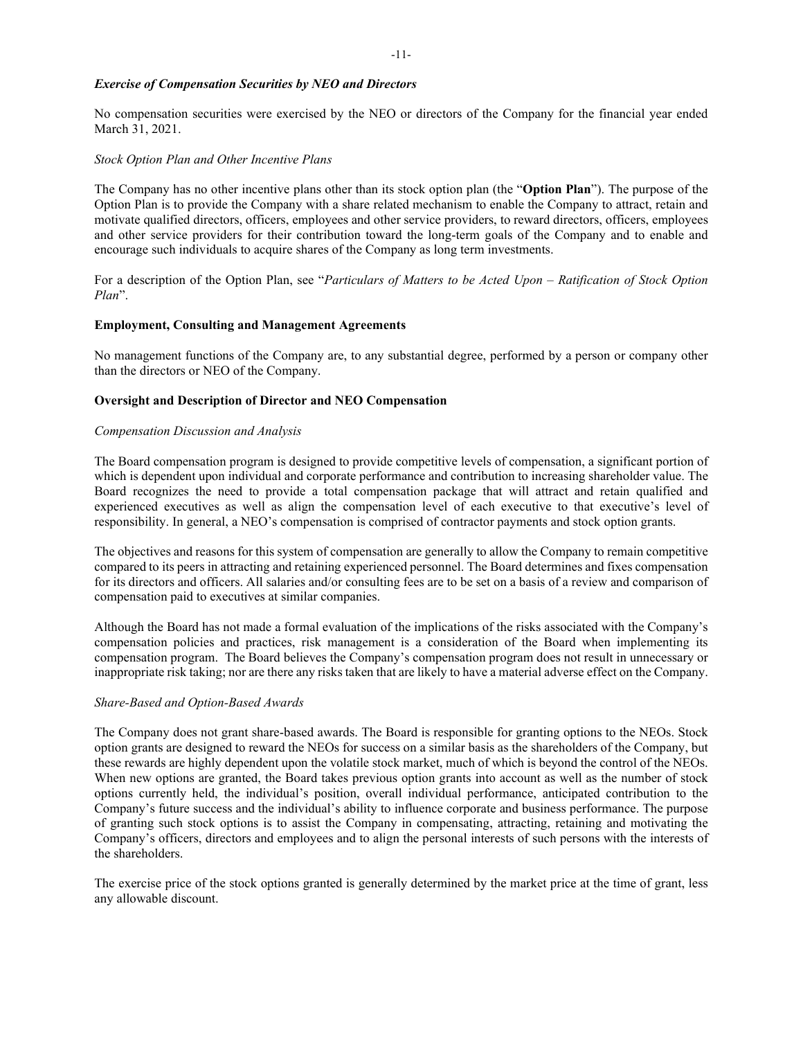# *Exercise of Compensation Securities by NEO and Directors*

No compensation securities were exercised by the NEO or directors of the Company for the financial year ended March 31, 2021.

#### *Stock Option Plan and Other Incentive Plans*

The Company has no other incentive plans other than its stock option plan (the "**Option Plan**"). The purpose of the Option Plan is to provide the Company with a share related mechanism to enable the Company to attract, retain and motivate qualified directors, officers, employees and other service providers, to reward directors, officers, employees and other service providers for their contribution toward the long-term goals of the Company and to enable and encourage such individuals to acquire shares of the Company as long term investments.

For a description of the Option Plan, see "*Particulars of Matters to be Acted Upon – Ratification of Stock Option Plan*".

#### **Employment, Consulting and Management Agreements**

No management functions of the Company are, to any substantial degree, performed by a person or company other than the directors or NEO of the Company.

#### **Oversight and Description of Director and NEO Compensation**

#### *Compensation Discussion and Analysis*

The Board compensation program is designed to provide competitive levels of compensation, a significant portion of which is dependent upon individual and corporate performance and contribution to increasing shareholder value. The Board recognizes the need to provide a total compensation package that will attract and retain qualified and experienced executives as well as align the compensation level of each executive to that executive's level of responsibility. In general, a NEO's compensation is comprised of contractor payments and stock option grants.

The objectives and reasons for this system of compensation are generally to allow the Company to remain competitive compared to its peers in attracting and retaining experienced personnel. The Board determines and fixes compensation for its directors and officers. All salaries and/or consulting fees are to be set on a basis of a review and comparison of compensation paid to executives at similar companies.

Although the Board has not made a formal evaluation of the implications of the risks associated with the Company's compensation policies and practices, risk management is a consideration of the Board when implementing its compensation program. The Board believes the Company's compensation program does not result in unnecessary or inappropriate risk taking; nor are there any risks taken that are likely to have a material adverse effect on the Company.

#### *Share-Based and Option-Based Awards*

The Company does not grant share-based awards. The Board is responsible for granting options to the NEOs. Stock option grants are designed to reward the NEOs for success on a similar basis as the shareholders of the Company, but these rewards are highly dependent upon the volatile stock market, much of which is beyond the control of the NEOs. When new options are granted, the Board takes previous option grants into account as well as the number of stock options currently held, the individual's position, overall individual performance, anticipated contribution to the Company's future success and the individual's ability to influence corporate and business performance. The purpose of granting such stock options is to assist the Company in compensating, attracting, retaining and motivating the Company's officers, directors and employees and to align the personal interests of such persons with the interests of the shareholders.

The exercise price of the stock options granted is generally determined by the market price at the time of grant, less any allowable discount.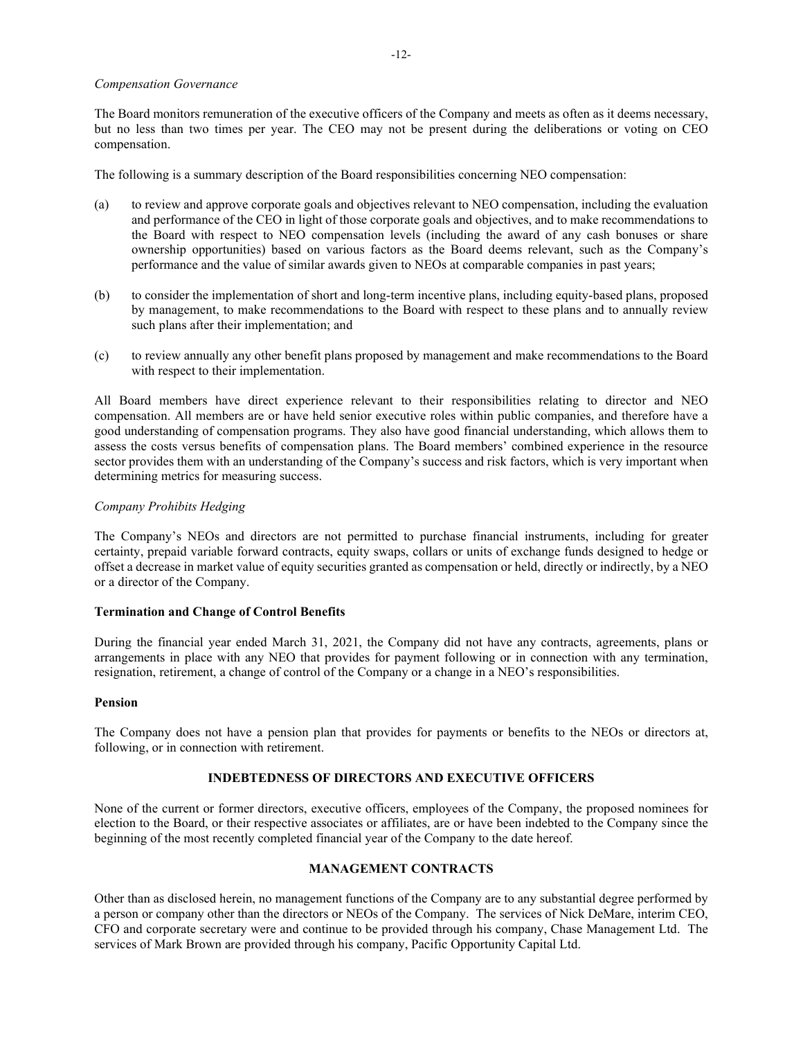#### *Compensation Governance*

The Board monitors remuneration of the executive officers of the Company and meets as often as it deems necessary, but no less than two times per year. The CEO may not be present during the deliberations or voting on CEO compensation.

The following is a summary description of the Board responsibilities concerning NEO compensation:

- (a) to review and approve corporate goals and objectives relevant to NEO compensation, including the evaluation and performance of the CEO in light of those corporate goals and objectives, and to make recommendations to the Board with respect to NEO compensation levels (including the award of any cash bonuses or share ownership opportunities) based on various factors as the Board deems relevant, such as the Company's performance and the value of similar awards given to NEOs at comparable companies in past years;
- (b) to consider the implementation of short and long-term incentive plans, including equity-based plans, proposed by management, to make recommendations to the Board with respect to these plans and to annually review such plans after their implementation; and
- (c) to review annually any other benefit plans proposed by management and make recommendations to the Board with respect to their implementation.

All Board members have direct experience relevant to their responsibilities relating to director and NEO compensation. All members are or have held senior executive roles within public companies, and therefore have a good understanding of compensation programs. They also have good financial understanding, which allows them to assess the costs versus benefits of compensation plans. The Board members' combined experience in the resource sector provides them with an understanding of the Company's success and risk factors, which is very important when determining metrics for measuring success.

# *Company Prohibits Hedging*

The Company's NEOs and directors are not permitted to purchase financial instruments, including for greater certainty, prepaid variable forward contracts, equity swaps, collars or units of exchange funds designed to hedge or offset a decrease in market value of equity securities granted as compensation or held, directly or indirectly, by a NEO or a director of the Company.

#### **Termination and Change of Control Benefits**

During the financial year ended March 31, 2021, the Company did not have any contracts, agreements, plans or arrangements in place with any NEO that provides for payment following or in connection with any termination, resignation, retirement, a change of control of the Company or a change in a NEO's responsibilities.

#### **Pension**

The Company does not have a pension plan that provides for payments or benefits to the NEOs or directors at, following, or in connection with retirement.

# **INDEBTEDNESS OF DIRECTORS AND EXECUTIVE OFFICERS**

None of the current or former directors, executive officers, employees of the Company, the proposed nominees for election to the Board, or their respective associates or affiliates, are or have been indebted to the Company since the beginning of the most recently completed financial year of the Company to the date hereof.

# **MANAGEMENT CONTRACTS**

Other than as disclosed herein, no management functions of the Company are to any substantial degree performed by a person or company other than the directors or NEOs of the Company. The services of Nick DeMare, interim CEO, CFO and corporate secretary were and continue to be provided through his company, Chase Management Ltd. The services of Mark Brown are provided through his company, Pacific Opportunity Capital Ltd.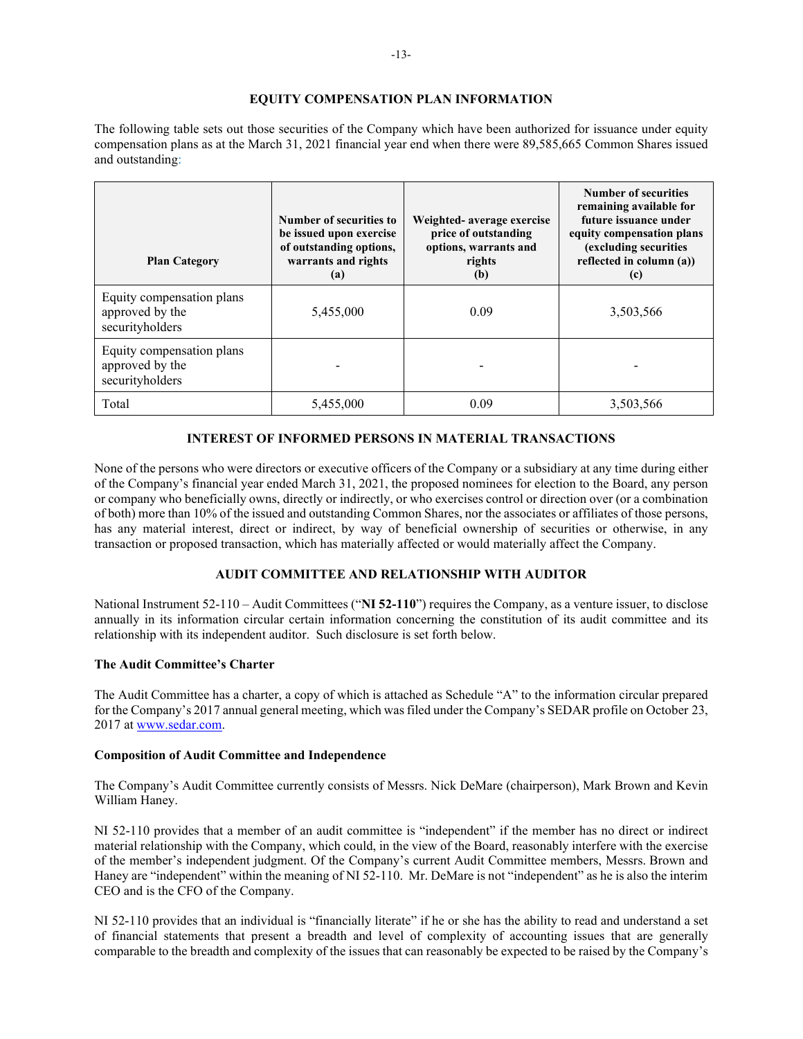# **EQUITY COMPENSATION PLAN INFORMATION**

The following table sets out those securities of the Company which have been authorized for issuance under equity compensation plans as at the March 31, 2021 financial year end when there were 89,585,665 Common Shares issued and outstanding:

| <b>Plan Category</b>                                            | Number of securities to<br>be issued upon exercise<br>of outstanding options,<br>warrants and rights<br>(a) | Weighted- average exercise<br>price of outstanding<br>options, warrants and<br>rights<br>(b) | <b>Number of securities</b><br>remaining available for<br>future issuance under<br>equity compensation plans<br>(excluding securities)<br>reflected in column (a))<br>(c) |
|-----------------------------------------------------------------|-------------------------------------------------------------------------------------------------------------|----------------------------------------------------------------------------------------------|---------------------------------------------------------------------------------------------------------------------------------------------------------------------------|
| Equity compensation plans<br>approved by the<br>securityholders | 5,455,000                                                                                                   | 0.09                                                                                         | 3,503,566                                                                                                                                                                 |
| Equity compensation plans<br>approved by the<br>securityholders |                                                                                                             |                                                                                              |                                                                                                                                                                           |
| Total                                                           | 5,455,000                                                                                                   | 0.09                                                                                         | 3.503.566                                                                                                                                                                 |

# **INTEREST OF INFORMED PERSONS IN MATERIAL TRANSACTIONS**

None of the persons who were directors or executive officers of the Company or a subsidiary at any time during either of the Company's financial year ended March 31, 2021, the proposed nominees for election to the Board, any person or company who beneficially owns, directly or indirectly, or who exercises control or direction over (or a combination of both) more than 10% of the issued and outstanding Common Shares, nor the associates or affiliates of those persons, has any material interest, direct or indirect, by way of beneficial ownership of securities or otherwise, in any transaction or proposed transaction, which has materially affected or would materially affect the Company.

# **AUDIT COMMITTEE AND RELATIONSHIP WITH AUDITOR**

National Instrument 52-110 – Audit Committees ("**NI 52-110**") requires the Company, as a venture issuer, to disclose annually in its information circular certain information concerning the constitution of its audit committee and its relationship with its independent auditor. Such disclosure is set forth below.

#### **The Audit Committee's Charter**

The Audit Committee has a charter, a copy of which is attached as Schedule "A" to the information circular prepared for the Company's 2017 annual general meeting, which was filed under the Company's SEDAR profile on October 23, 2017 at [www.sedar.com.](http://www.sedar.com/)

#### **Composition of Audit Committee and Independence**

The Company's Audit Committee currently consists of Messrs. Nick DeMare (chairperson), Mark Brown and Kevin William Haney.

NI 52-110 provides that a member of an audit committee is "independent" if the member has no direct or indirect material relationship with the Company, which could, in the view of the Board, reasonably interfere with the exercise of the member's independent judgment. Of the Company's current Audit Committee members, Messrs. Brown and Haney are "independent" within the meaning of NI 52-110. Mr. DeMare is not "independent" as he is also the interim CEO and is the CFO of the Company.

NI 52-110 provides that an individual is "financially literate" if he or she has the ability to read and understand a set of financial statements that present a breadth and level of complexity of accounting issues that are generally comparable to the breadth and complexity of the issues that can reasonably be expected to be raised by the Company's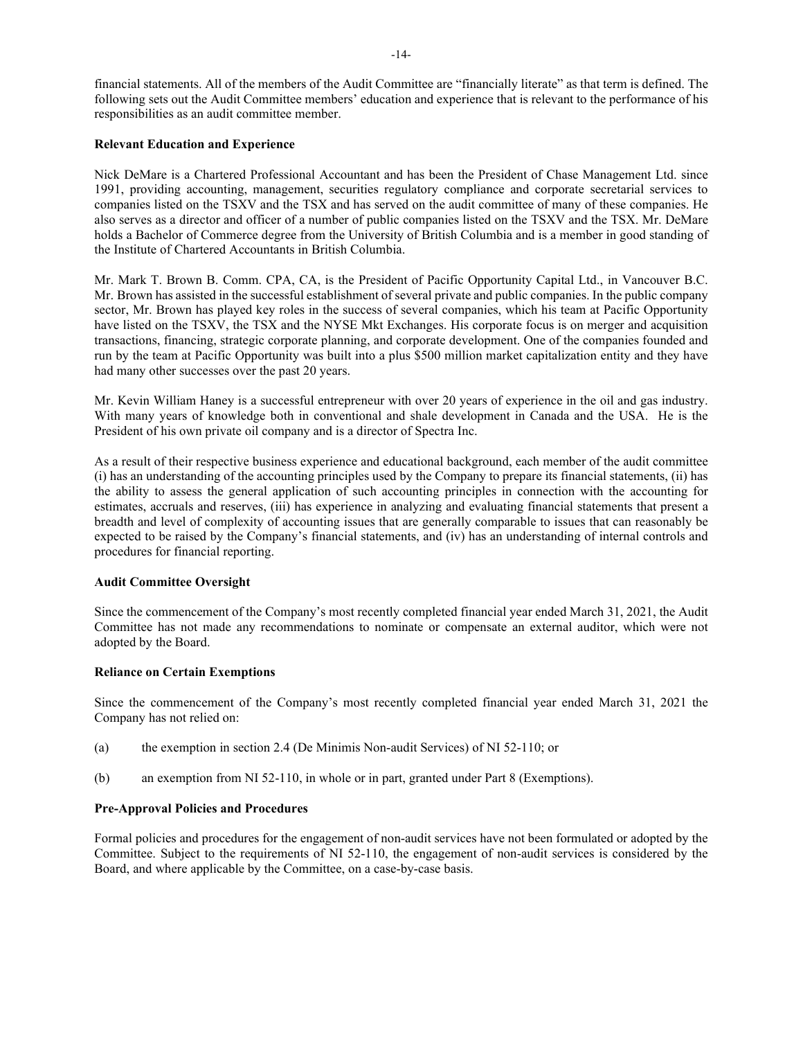financial statements. All of the members of the Audit Committee are "financially literate" as that term is defined. The following sets out the Audit Committee members' education and experience that is relevant to the performance of his responsibilities as an audit committee member.

### **Relevant Education and Experience**

Nick DeMare is a Chartered Professional Accountant and has been the President of Chase Management Ltd. since 1991, providing accounting, management, securities regulatory compliance and corporate secretarial services to companies listed on the TSXV and the TSX and has served on the audit committee of many of these companies. He also serves as a director and officer of a number of public companies listed on the TSXV and the TSX. Mr. DeMare holds a Bachelor of Commerce degree from the University of British Columbia and is a member in good standing of the Institute of Chartered Accountants in British Columbia.

Mr. Mark T. Brown B. Comm. CPA, CA, is the President of Pacific Opportunity Capital Ltd., in Vancouver B.C. Mr. Brown has assisted in the successful establishment of several private and public companies. In the public company sector, Mr. Brown has played key roles in the success of several companies, which his team at Pacific Opportunity have listed on the TSXV, the TSX and the NYSE Mkt Exchanges. His corporate focus is on merger and acquisition transactions, financing, strategic corporate planning, and corporate development. One of the companies founded and run by the team at Pacific Opportunity was built into a plus \$500 million market capitalization entity and they have had many other successes over the past 20 years.

Mr. Kevin William Haney is a successful entrepreneur with over 20 years of experience in the oil and gas industry. With many years of knowledge both in conventional and shale development in Canada and the USA. He is the President of his own private oil company and is a director of Spectra Inc.

As a result of their respective business experience and educational background, each member of the audit committee (i) has an understanding of the accounting principles used by the Company to prepare its financial statements, (ii) has the ability to assess the general application of such accounting principles in connection with the accounting for estimates, accruals and reserves, (iii) has experience in analyzing and evaluating financial statements that present a breadth and level of complexity of accounting issues that are generally comparable to issues that can reasonably be expected to be raised by the Company's financial statements, and (iv) has an understanding of internal controls and procedures for financial reporting.

#### **Audit Committee Oversight**

Since the commencement of the Company's most recently completed financial year ended March 31, 2021, the Audit Committee has not made any recommendations to nominate or compensate an external auditor, which were not adopted by the Board.

#### **Reliance on Certain Exemptions**

Since the commencement of the Company's most recently completed financial year ended March 31, 2021 the Company has not relied on:

- (a) the exemption in section 2.4 (De Minimis Non-audit Services) of NI 52-110; or
- (b) an exemption from NI 52-110, in whole or in part, granted under Part 8 (Exemptions).

# **Pre-Approval Policies and Procedures**

Formal policies and procedures for the engagement of non-audit services have not been formulated or adopted by the Committee. Subject to the requirements of NI 52-110, the engagement of non-audit services is considered by the Board, and where applicable by the Committee, on a case-by-case basis.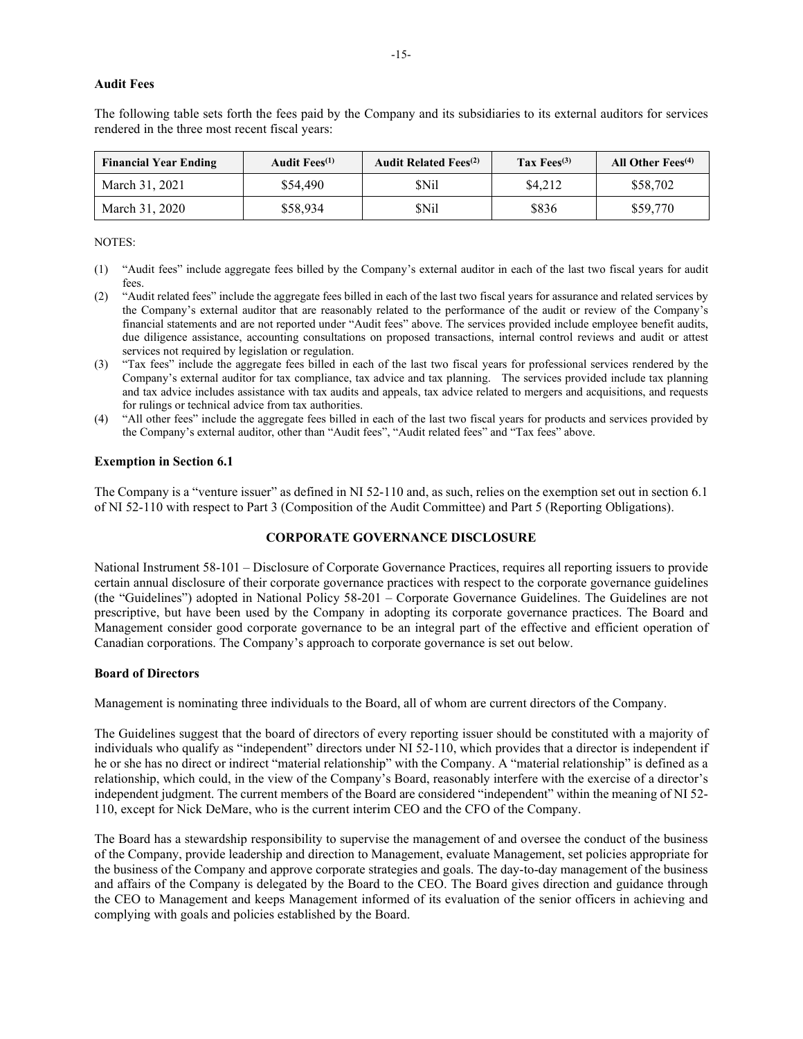#### **Audit Fees**

The following table sets forth the fees paid by the Company and its subsidiaries to its external auditors for services rendered in the three most recent fiscal years:

| <b>Financial Year Ending</b> | Audit Fees <sup>(1)</sup> | <b>Audit Related Fees</b> <sup>(2)</sup> | Tax $Fees^{(3)}$ | All Other Fees <sup>(4)</sup> |
|------------------------------|---------------------------|------------------------------------------|------------------|-------------------------------|
| March 31, 2021               | \$54,490                  | SNil                                     | \$4,212          | \$58,702                      |
| March 31, 2020               | \$58,934                  | SNil                                     | \$836            | \$59,770                      |

#### NOTES:

- (1) "Audit fees" include aggregate fees billed by the Company's external auditor in each of the last two fiscal years for audit fees.
- (2) "Audit related fees" include the aggregate fees billed in each of the last two fiscal years for assurance and related services by the Company's external auditor that are reasonably related to the performance of the audit or review of the Company's financial statements and are not reported under "Audit fees" above. The services provided include employee benefit audits, due diligence assistance, accounting consultations on proposed transactions, internal control reviews and audit or attest services not required by legislation or regulation.
- (3) "Tax fees" include the aggregate fees billed in each of the last two fiscal years for professional services rendered by the Company's external auditor for tax compliance, tax advice and tax planning. The services provided include tax planning and tax advice includes assistance with tax audits and appeals, tax advice related to mergers and acquisitions, and requests for rulings or technical advice from tax authorities.
- (4) "All other fees" include the aggregate fees billed in each of the last two fiscal years for products and services provided by the Company's external auditor, other than "Audit fees", "Audit related fees" and "Tax fees" above.

#### **Exemption in Section 6.1**

The Company is a "venture issuer" as defined in NI 52-110 and, as such, relies on the exemption set out in section 6.1 of NI 52-110 with respect to Part 3 (Composition of the Audit Committee) and Part 5 (Reporting Obligations).

#### **CORPORATE GOVERNANCE DISCLOSURE**

National Instrument 58-101 – Disclosure of Corporate Governance Practices, requires all reporting issuers to provide certain annual disclosure of their corporate governance practices with respect to the corporate governance guidelines (the "Guidelines") adopted in National Policy 58-201 – Corporate Governance Guidelines. The Guidelines are not prescriptive, but have been used by the Company in adopting its corporate governance practices. The Board and Management consider good corporate governance to be an integral part of the effective and efficient operation of Canadian corporations. The Company's approach to corporate governance is set out below.

#### **Board of Directors**

Management is nominating three individuals to the Board, all of whom are current directors of the Company.

The Guidelines suggest that the board of directors of every reporting issuer should be constituted with a majority of individuals who qualify as "independent" directors under NI 52-110, which provides that a director is independent if he or she has no direct or indirect "material relationship" with the Company. A "material relationship" is defined as a relationship, which could, in the view of the Company's Board, reasonably interfere with the exercise of a director's independent judgment. The current members of the Board are considered "independent" within the meaning of NI 52- 110, except for Nick DeMare, who is the current interim CEO and the CFO of the Company.

The Board has a stewardship responsibility to supervise the management of and oversee the conduct of the business of the Company, provide leadership and direction to Management, evaluate Management, set policies appropriate for the business of the Company and approve corporate strategies and goals. The day-to-day management of the business and affairs of the Company is delegated by the Board to the CEO. The Board gives direction and guidance through the CEO to Management and keeps Management informed of its evaluation of the senior officers in achieving and complying with goals and policies established by the Board.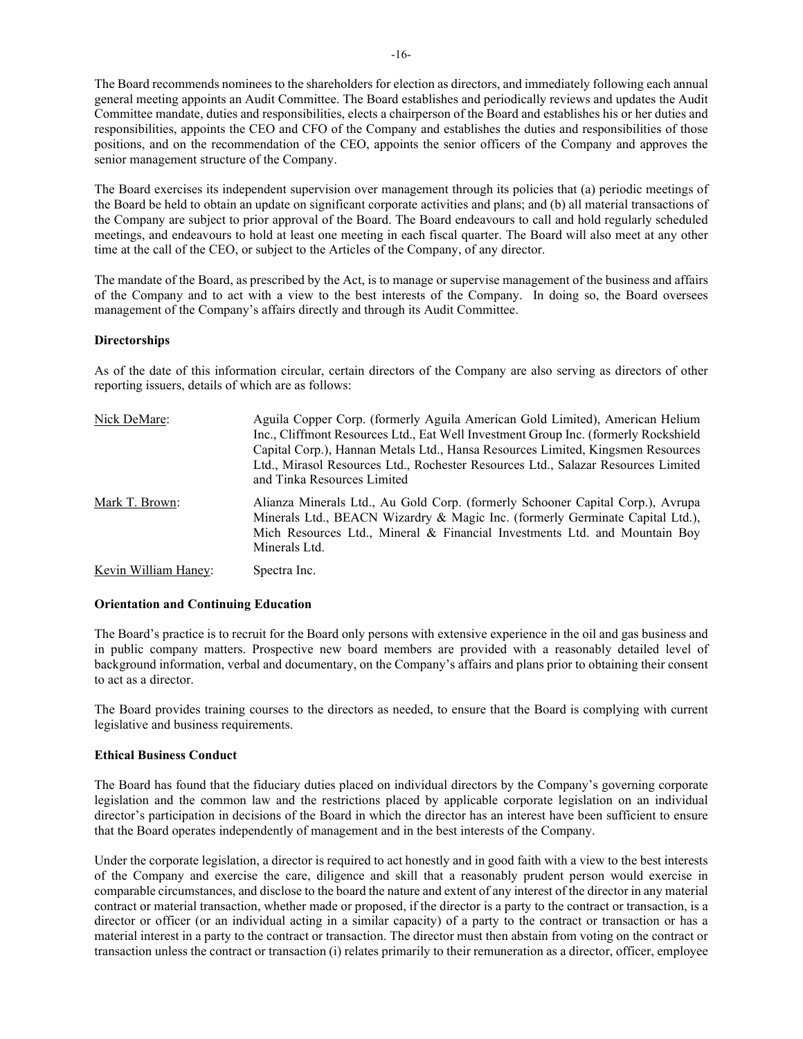The Board recommends nominees to the shareholders for election as directors, and immediately following each annual general meeting appoints an Audit Committee. The Board establishes and periodically reviews and updates the Audit Committee mandate, duties and responsibilities, elects a chairperson of the Board and establishes his or her duties and responsibilities, appoints the CEO and CFO of the Company and establishes the duties and responsibilities of those positions, and on the recommendation of the CEO, appoints the senior officers of the Company and approves the senior management structure of the Company.

The Board exercises its independent supervision over management through its policies that (a) periodic meetings of the Board be held to obtain an update on significant corporate activities and plans; and (b) all material transactions of the Company are subject to prior approval of the Board. The Board endeavours to call and hold regularly scheduled meetings, and endeavours to hold at least one meeting in each fiscal quarter. The Board will also meet at any other time at the call of the CEO, or subject to the Articles of the Company, of any director.

The mandate of the Board, as prescribed by the Act, is to manage or supervise management of the business and affairs of the Company and to act with a view to the best interests of the Company. In doing so, the Board oversees management of the Company's affairs directly and through its Audit Committee.

#### **Directorships**

As of the date of this information circular, certain directors of the Company are also serving as directors of other reporting issuers, details of which are as follows:

| Nick DeMare:         | Aguila Copper Corp. (formerly Aguila American Gold Limited), American Helium<br>Inc., Cliffmont Resources Ltd., Eat Well Investment Group Inc. (formerly Rockshield<br>Capital Corp.), Hannan Metals Ltd., Hansa Resources Limited, Kingsmen Resources<br>Ltd., Mirasol Resources Ltd., Rochester Resources Ltd., Salazar Resources Limited<br>and Tinka Resources Limited |
|----------------------|----------------------------------------------------------------------------------------------------------------------------------------------------------------------------------------------------------------------------------------------------------------------------------------------------------------------------------------------------------------------------|
| Mark T. Brown:       | Alianza Minerals Ltd., Au Gold Corp. (formerly Schooner Capital Corp.), Avrupa<br>Minerals Ltd., BEACN Wizardry & Magic Inc. (formerly Germinate Capital Ltd.),<br>Mich Resources Ltd., Mineral & Financial Investments Ltd. and Mountain Boy<br>Minerals Ltd.                                                                                                             |
| Kevin William Haney: | Spectra Inc.                                                                                                                                                                                                                                                                                                                                                               |

#### **Orientation and Continuing Education**

The Board's practice is to recruit for the Board only persons with extensive experience in the oil and gas business and in public company matters. Prospective new board members are provided with a reasonably detailed level of background information, verbal and documentary, on the Company's affairs and plans prior to obtaining their consent to act as a director.

The Board provides training courses to the directors as needed, to ensure that the Board is complying with current legislative and business requirements.

#### **Ethical Business Conduct**

The Board has found that the fiduciary duties placed on individual directors by the Company's governing corporate legislation and the common law and the restrictions placed by applicable corporate legislation on an individual director's participation in decisions of the Board in which the director has an interest have been sufficient to ensure that the Board operates independently of management and in the best interests of the Company.

Under the corporate legislation, a director is required to act honestly and in good faith with a view to the best interests of the Company and exercise the care, diligence and skill that a reasonably prudent person would exercise in comparable circumstances, and disclose to the board the nature and extent of any interest of the director in any material contract or material transaction, whether made or proposed, if the director is a party to the contract or transaction, is a director or officer (or an individual acting in a similar capacity) of a party to the contract or transaction or has a material interest in a party to the contract or transaction. The director must then abstain from voting on the contract or transaction unless the contract or transaction (i) relates primarily to their remuneration as a director, officer, employee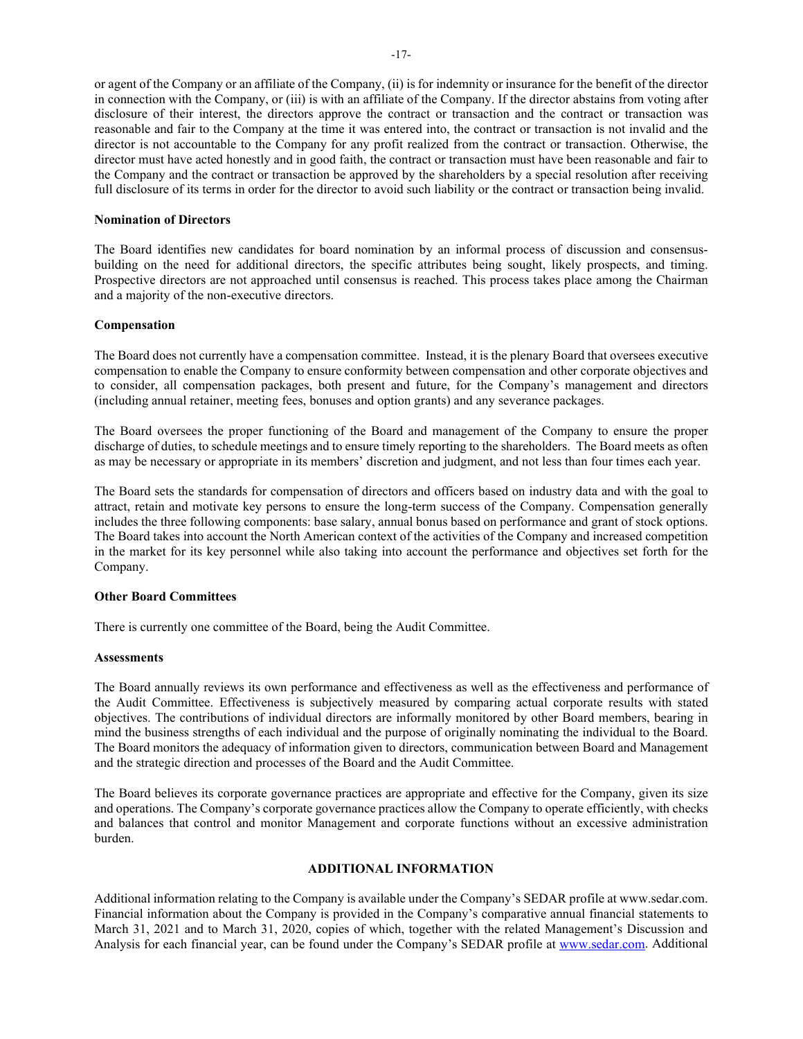or agent of the Company or an affiliate of the Company, (ii) is for indemnity or insurance for the benefit of the director in connection with the Company, or (iii) is with an affiliate of the Company. If the director abstains from voting after disclosure of their interest, the directors approve the contract or transaction and the contract or transaction was reasonable and fair to the Company at the time it was entered into, the contract or transaction is not invalid and the director is not accountable to the Company for any profit realized from the contract or transaction. Otherwise, the director must have acted honestly and in good faith, the contract or transaction must have been reasonable and fair to the Company and the contract or transaction be approved by the shareholders by a special resolution after receiving full disclosure of its terms in order for the director to avoid such liability or the contract or transaction being invalid.

#### **Nomination of Directors**

The Board identifies new candidates for board nomination by an informal process of discussion and consensusbuilding on the need for additional directors, the specific attributes being sought, likely prospects, and timing. Prospective directors are not approached until consensus is reached. This process takes place among the Chairman and a majority of the non-executive directors.

#### **Compensation**

The Board does not currently have a compensation committee. Instead, it is the plenary Board that oversees executive compensation to enable the Company to ensure conformity between compensation and other corporate objectives and to consider, all compensation packages, both present and future, for the Company's management and directors (including annual retainer, meeting fees, bonuses and option grants) and any severance packages.

The Board oversees the proper functioning of the Board and management of the Company to ensure the proper discharge of duties, to schedule meetings and to ensure timely reporting to the shareholders. The Board meets as often as may be necessary or appropriate in its members' discretion and judgment, and not less than four times each year.

The Board sets the standards for compensation of directors and officers based on industry data and with the goal to attract, retain and motivate key persons to ensure the long-term success of the Company. Compensation generally includes the three following components: base salary, annual bonus based on performance and grant of stock options. The Board takes into account the North American context of the activities of the Company and increased competition in the market for its key personnel while also taking into account the performance and objectives set forth for the Company.

#### **Other Board Committees**

There is currently one committee of the Board, being the Audit Committee.

#### **Assessments**

The Board annually reviews its own performance and effectiveness as well as the effectiveness and performance of the Audit Committee. Effectiveness is subjectively measured by comparing actual corporate results with stated objectives. The contributions of individual directors are informally monitored by other Board members, bearing in mind the business strengths of each individual and the purpose of originally nominating the individual to the Board. The Board monitors the adequacy of information given to directors, communication between Board and Management and the strategic direction and processes of the Board and the Audit Committee.

The Board believes its corporate governance practices are appropriate and effective for the Company, given its size and operations. The Company's corporate governance practices allow the Company to operate efficiently, with checks and balances that control and monitor Management and corporate functions without an excessive administration burden.

#### **ADDITIONAL INFORMATION**

Additional information relating to the Company is available under the Company's SEDAR profile at www.sedar.com. Financial information about the Company is provided in the Company's comparative annual financial statements to March 31, 2021 and to March 31, 2020, copies of which, together with the related Management's Discussion and Analysis for each financial year, can be found under the Company's SEDAR profile at [www.sedar.com.](http://www.sedar.com/) Additional